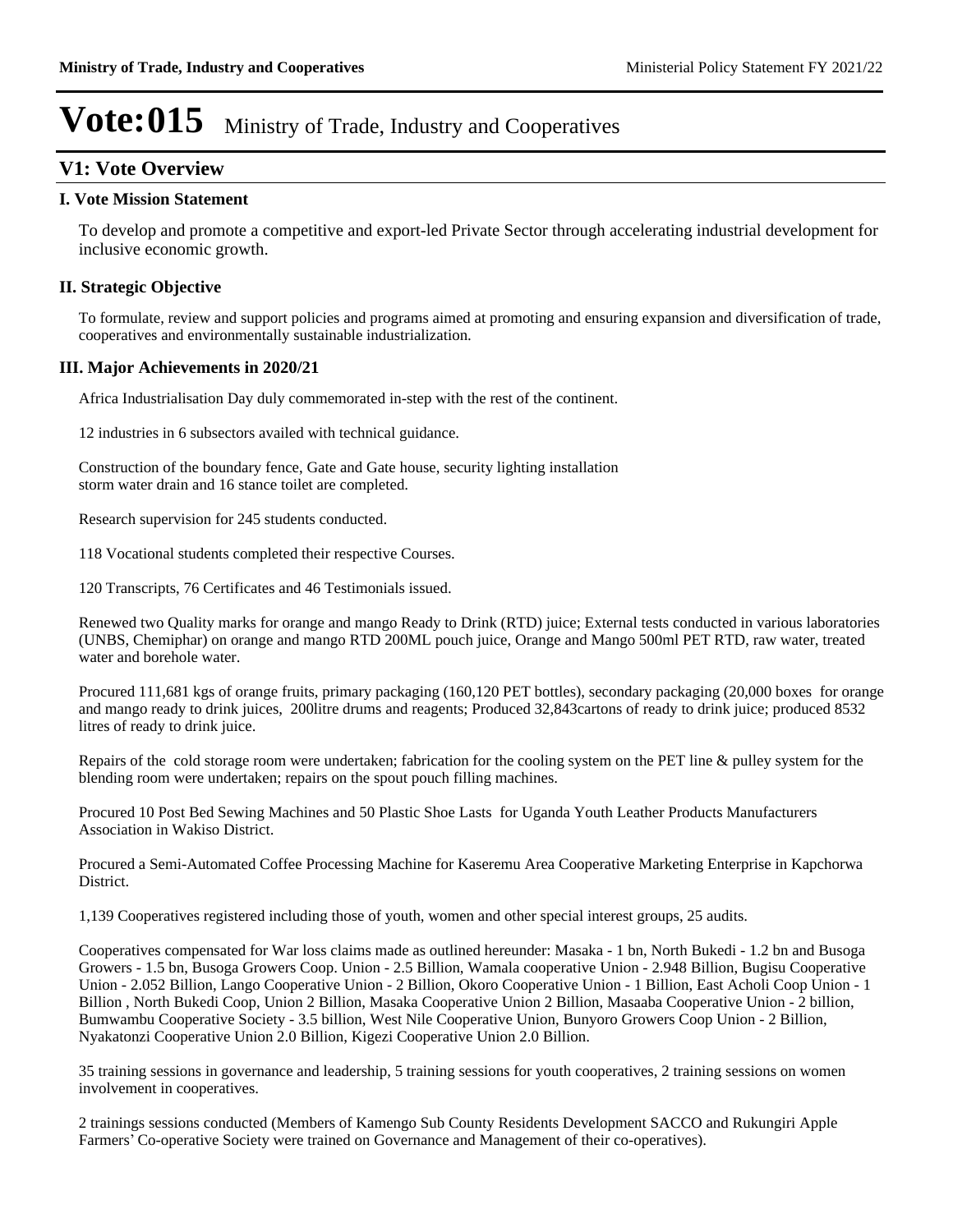### **V1: Vote Overview**

#### **I. Vote Mission Statement**

To develop and promote a competitive and export-led Private Sector through accelerating industrial development for inclusive economic growth.

### **II. Strategic Objective**

To formulate, review and support policies and programs aimed at promoting and ensuring expansion and diversification of trade, cooperatives and environmentally sustainable industrialization.

### **III. Major Achievements in 2020/21**

Africa Industrialisation Day duly commemorated in-step with the rest of the continent.

12 industries in 6 subsectors availed with technical guidance.

Construction of the boundary fence, Gate and Gate house, security lighting installation storm water drain and 16 stance toilet are completed.

Research supervision for 245 students conducted.

118 Vocational students completed their respective Courses.

120 Transcripts, 76 Certificates and 46 Testimonials issued.

Renewed two Quality marks for orange and mango Ready to Drink (RTD) juice; External tests conducted in various laboratories (UNBS, Chemiphar) on orange and mango RTD 200ML pouch juice, Orange and Mango 500ml PET RTD, raw water, treated water and borehole water.

Procured 111,681 kgs of orange fruits, primary packaging (160,120 PET bottles), secondary packaging (20,000 boxes for orange and mango ready to drink juices, 200litre drums and reagents; Produced 32,843cartons of ready to drink juice; produced 8532 litres of ready to drink juice.

Repairs of the cold storage room were undertaken; fabrication for the cooling system on the PET line & pulley system for the blending room were undertaken; repairs on the spout pouch filling machines.

Procured 10 Post Bed Sewing Machines and 50 Plastic Shoe Lasts for Uganda Youth Leather Products Manufacturers Association in Wakiso District.

Procured a Semi-Automated Coffee Processing Machine for Kaseremu Area Cooperative Marketing Enterprise in Kapchorwa District.

1,139 Cooperatives registered including those of youth, women and other special interest groups, 25 audits.

Cooperatives compensated for War loss claims made as outlined hereunder: Masaka - 1 bn, North Bukedi - 1.2 bn and Busoga Growers - 1.5 bn, Busoga Growers Coop. Union - 2.5 Billion, Wamala cooperative Union - 2.948 Billion, Bugisu Cooperative Union - 2.052 Billion, Lango Cooperative Union - 2 Billion, Okoro Cooperative Union - 1 Billion, East Acholi Coop Union - 1 Billion , North Bukedi Coop, Union 2 Billion, Masaka Cooperative Union 2 Billion, Masaaba Cooperative Union - 2 billion, Bumwambu Cooperative Society - 3.5 billion, West Nile Cooperative Union, Bunyoro Growers Coop Union - 2 Billion, Nyakatonzi Cooperative Union 2.0 Billion, Kigezi Cooperative Union 2.0 Billion.

35 training sessions in governance and leadership, 5 training sessions for youth cooperatives, 2 training sessions on women involvement in cooperatives.

2 trainings sessions conducted (Members of Kamengo Sub County Residents Development SACCO and Rukungiri Apple Farmers' Co-operative Society were trained on Governance and Management of their co-operatives).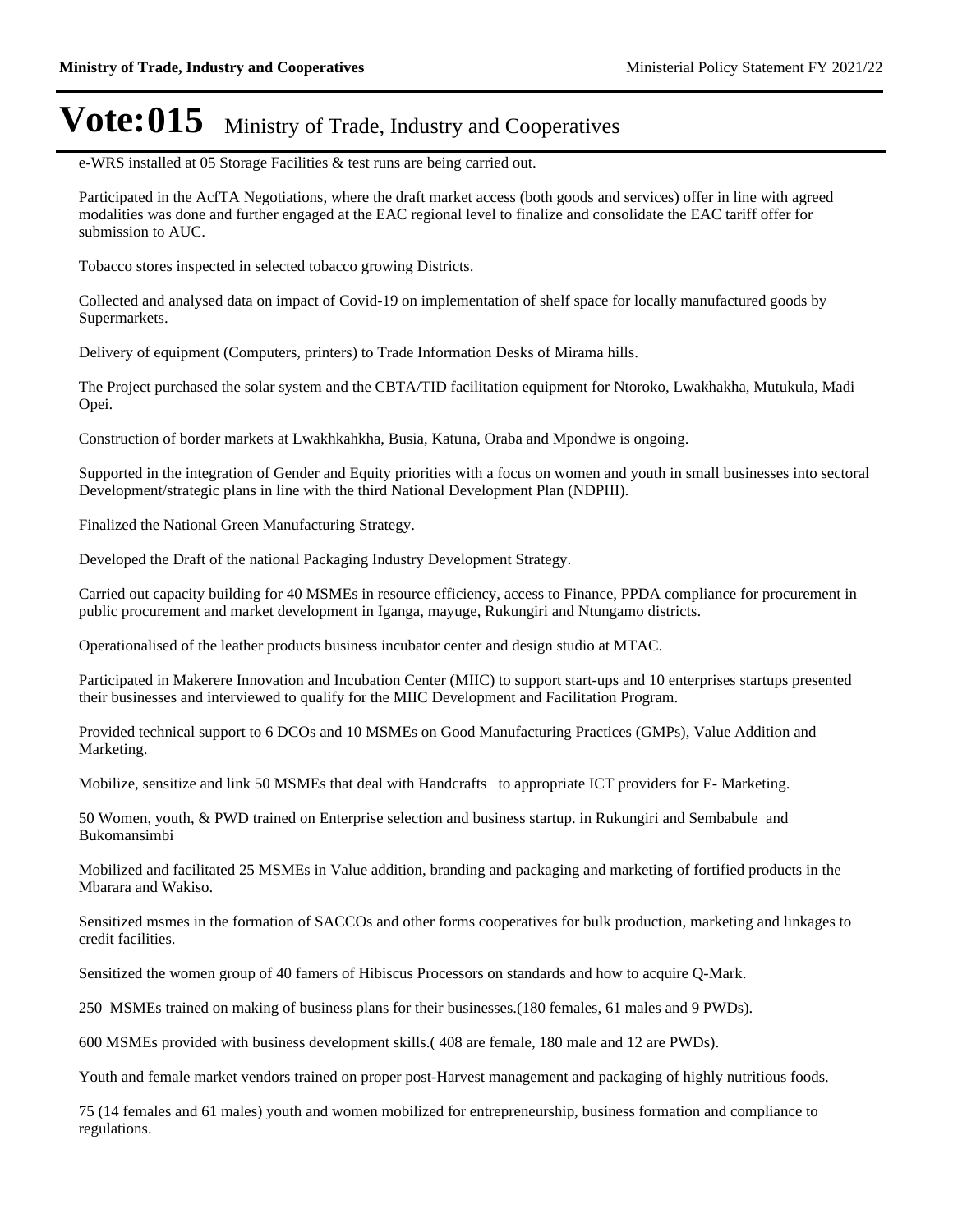e-WRS installed at 05 Storage Facilities & test runs are being carried out.

Participated in the AcfTA Negotiations, where the draft market access (both goods and services) offer in line with agreed modalities was done and further engaged at the EAC regional level to finalize and consolidate the EAC tariff offer for submission to AUC.

Tobacco stores inspected in selected tobacco growing Districts.

Collected and analysed data on impact of Covid-19 on implementation of shelf space for locally manufactured goods by Supermarkets.

Delivery of equipment (Computers, printers) to Trade Information Desks of Mirama hills.

The Project purchased the solar system and the CBTA/TID facilitation equipment for Ntoroko, Lwakhakha, Mutukula, Madi Opei.

Construction of border markets at Lwakhkahkha, Busia, Katuna, Oraba and Mpondwe is ongoing.

Supported in the integration of Gender and Equity priorities with a focus on women and youth in small businesses into sectoral Development/strategic plans in line with the third National Development Plan (NDPIII).

Finalized the National Green Manufacturing Strategy.

Developed the Draft of the national Packaging Industry Development Strategy.

Carried out capacity building for 40 MSMEs in resource efficiency, access to Finance, PPDA compliance for procurement in public procurement and market development in Iganga, mayuge, Rukungiri and Ntungamo districts.

Operationalised of the leather products business incubator center and design studio at MTAC.

Participated in Makerere Innovation and Incubation Center (MIIC) to support start-ups and 10 enterprises startups presented their businesses and interviewed to qualify for the MIIC Development and Facilitation Program.

Provided technical support to 6 DCOs and 10 MSMEs on Good Manufacturing Practices (GMPs), Value Addition and Marketing.

Mobilize, sensitize and link 50 MSMEs that deal with Handcrafts to appropriate ICT providers for E- Marketing.

50 Women, youth, & PWD trained on Enterprise selection and business startup. in Rukungiri and Sembabule and Bukomansimbi

Mobilized and facilitated 25 MSMEs in Value addition, branding and packaging and marketing of fortified products in the Mbarara and Wakiso.

Sensitized msmes in the formation of SACCOs and other forms cooperatives for bulk production, marketing and linkages to credit facilities.

Sensitized the women group of 40 famers of Hibiscus Processors on standards and how to acquire Q-Mark.

250 MSMEs trained on making of business plans for their businesses.(180 females, 61 males and 9 PWDs).

600 MSMEs provided with business development skills.( 408 are female, 180 male and 12 are PWDs).

Youth and female market vendors trained on proper post-Harvest management and packaging of highly nutritious foods.

75 (14 females and 61 males) youth and women mobilized for entrepreneurship, business formation and compliance to regulations.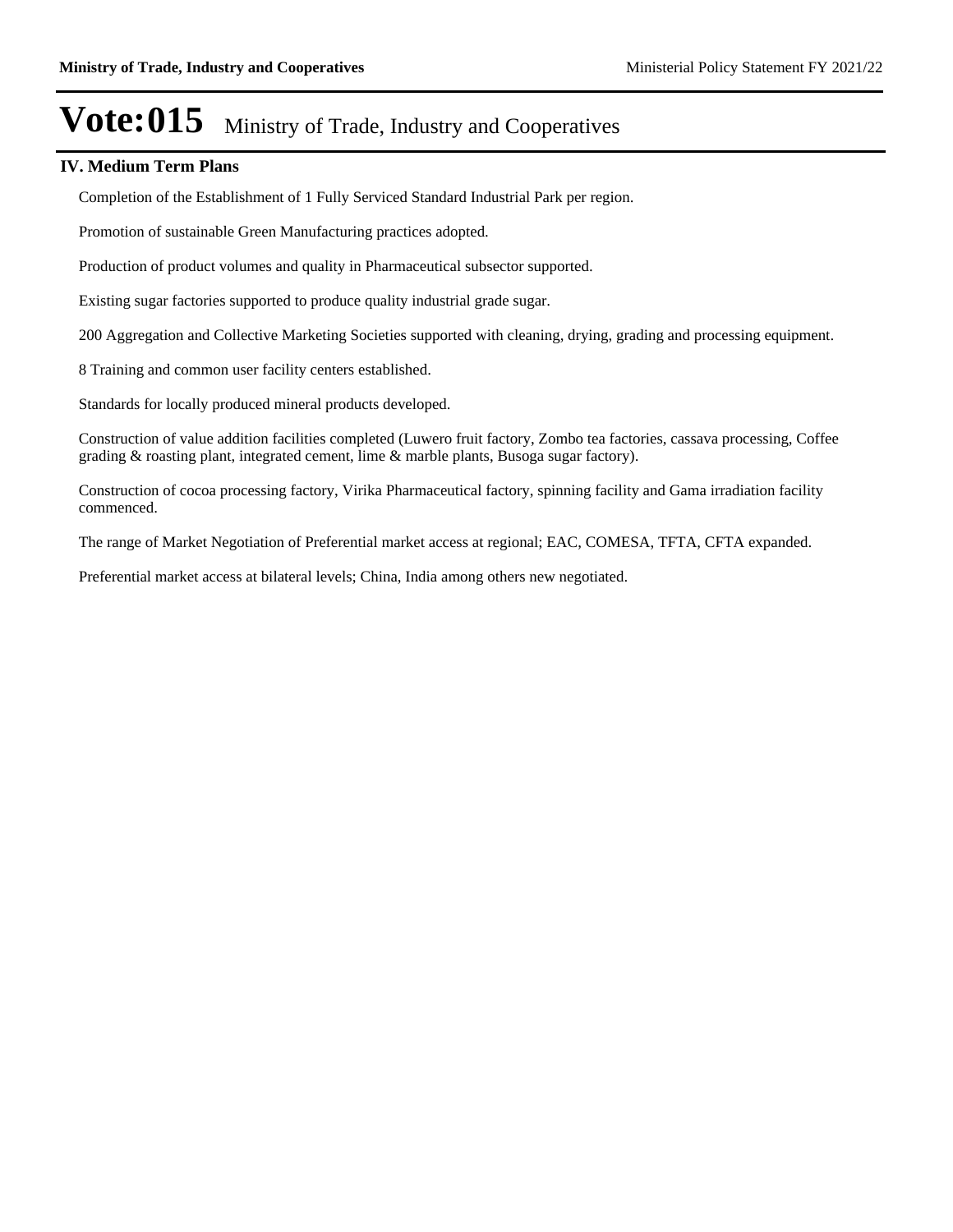### **IV. Medium Term Plans**

Completion of the Establishment of 1 Fully Serviced Standard Industrial Park per region.

Promotion of sustainable Green Manufacturing practices adopted.

Production of product volumes and quality in Pharmaceutical subsector supported.

Existing sugar factories supported to produce quality industrial grade sugar.

200 Aggregation and Collective Marketing Societies supported with cleaning, drying, grading and processing equipment.

8 Training and common user facility centers established.

Standards for locally produced mineral products developed.

Construction of value addition facilities completed (Luwero fruit factory, Zombo tea factories, cassava processing, Coffee grading & roasting plant, integrated cement, lime & marble plants, Busoga sugar factory).

Construction of cocoa processing factory, Virika Pharmaceutical factory, spinning facility and Gama irradiation facility commenced.

The range of Market Negotiation of Preferential market access at regional; EAC, COMESA, TFTA, CFTA expanded.

Preferential market access at bilateral levels; China, India among others new negotiated.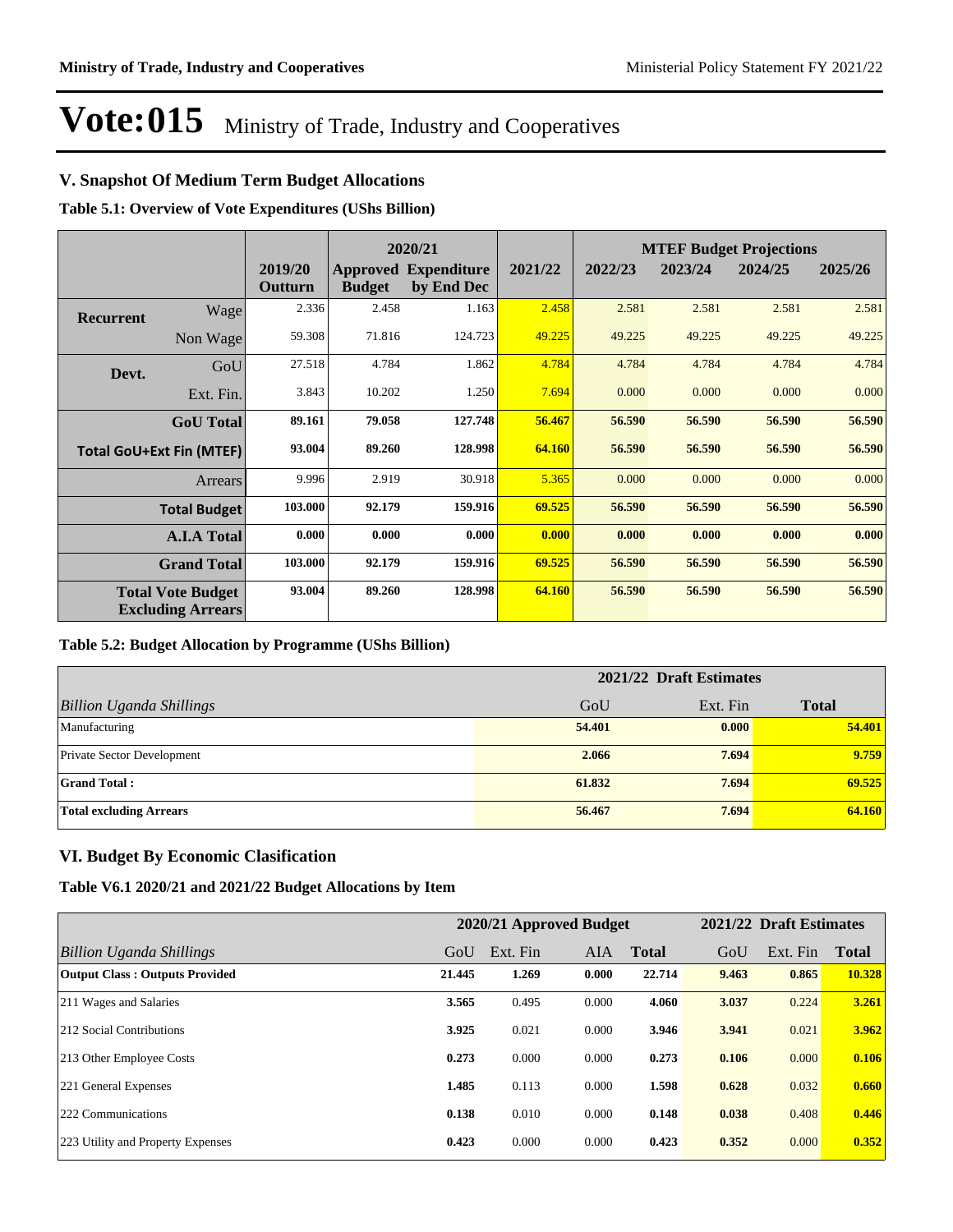### **V. Snapshot Of Medium Term Budget Allocations**

**Table 5.1: Overview of Vote Expenditures (UShs Billion)**

|           |                                                      |                    |               | 2020/21                                   |         | <b>MTEF Budget Projections</b> |         |         |         |
|-----------|------------------------------------------------------|--------------------|---------------|-------------------------------------------|---------|--------------------------------|---------|---------|---------|
|           |                                                      | 2019/20<br>Outturn | <b>Budget</b> | <b>Approved Expenditure</b><br>by End Dec | 2021/22 | 2022/23                        | 2023/24 | 2024/25 | 2025/26 |
| Recurrent | Wage                                                 | 2.336              | 2.458         | 1.163                                     | 2.458   | 2.581                          | 2.581   | 2.581   | 2.581   |
|           | Non Wage                                             | 59.308             | 71.816        | 124.723                                   | 49.225  | 49.225                         | 49.225  | 49.225  | 49.225  |
| Devt.     | GoU                                                  | 27.518             | 4.784         | 1.862                                     | 4.784   | 4.784                          | 4.784   | 4.784   | 4.784   |
|           | Ext. Fin.                                            | 3.843              | 10.202        | 1.250                                     | 7.694   | 0.000                          | 0.000   | 0.000   | 0.000   |
|           | <b>GoU</b> Total                                     | 89.161             | 79.058        | 127.748                                   | 56.467  | 56.590                         | 56.590  | 56.590  | 56.590  |
|           | <b>Total GoU+Ext Fin (MTEF)</b>                      | 93.004             | 89.260        | 128.998                                   | 64.160  | 56.590                         | 56.590  | 56.590  | 56.590  |
|           | Arrears                                              | 9.996              | 2.919         | 30.918                                    | 5.365   | 0.000                          | 0.000   | 0.000   | 0.000   |
|           | <b>Total Budget</b>                                  | 103.000            | 92.179        | 159.916                                   | 69.525  | 56.590                         | 56.590  | 56.590  | 56.590  |
|           | <b>A.I.A Total</b>                                   | 0.000              | 0.000         | 0.000                                     | 0.000   | 0.000                          | 0.000   | 0.000   | 0.000   |
|           | <b>Grand Total</b>                                   | 103.000            | 92.179        | 159.916                                   | 69.525  | 56.590                         | 56.590  | 56.590  | 56.590  |
|           | <b>Total Vote Budget</b><br><b>Excluding Arrears</b> | 93.004             | 89.260        | 128.998                                   | 64.160  | 56.590                         | 56.590  | 56.590  | 56.590  |

#### **Table 5.2: Budget Allocation by Programme (UShs Billion)**

|                                   | 2021/22 Draft Estimates |          |              |  |  |  |
|-----------------------------------|-------------------------|----------|--------------|--|--|--|
| <b>Billion Uganda Shillings</b>   | GoU                     | Ext. Fin | <b>Total</b> |  |  |  |
| Manufacturing                     | 54.401                  | 0.000    | 54.401       |  |  |  |
| <b>Private Sector Development</b> | 2.066                   | 7.694    | 9.759        |  |  |  |
| <b>Grand Total:</b>               | 61.832                  | 7.694    | 69.525       |  |  |  |
| <b>Total excluding Arrears</b>    | 56.467                  | 7.694    | 64.160       |  |  |  |

### **VI. Budget By Economic Clasification**

#### **Table V6.1 2020/21 and 2021/22 Budget Allocations by Item**

|                                       | 2020/21 Approved Budget |          |       |              | 2021/22 Draft Estimates |          |              |  |
|---------------------------------------|-------------------------|----------|-------|--------------|-------------------------|----------|--------------|--|
| Billion Uganda Shillings              | GoU                     | Ext. Fin | AIA   | <b>Total</b> | GoU                     | Ext. Fin | <b>Total</b> |  |
| <b>Output Class: Outputs Provided</b> | 21.445                  | 1.269    | 0.000 | 22.714       | 9.463                   | 0.865    | 10.328       |  |
| 211 Wages and Salaries                | 3.565                   | 0.495    | 0.000 | 4.060        | 3.037                   | 0.224    | 3.261        |  |
| 212 Social Contributions              | 3.925                   | 0.021    | 0.000 | 3.946        | 3.941                   | 0.021    | 3.962        |  |
| 213 Other Employee Costs              | 0.273                   | 0.000    | 0.000 | 0.273        | 0.106                   | 0.000    | 0.106        |  |
| 221 General Expenses                  | 1.485                   | 0.113    | 0.000 | 1.598        | 0.628                   | 0.032    | 0.660        |  |
| 222 Communications                    | 0.138                   | 0.010    | 0.000 | 0.148        | 0.038                   | 0.408    | 0.446        |  |
| 223 Utility and Property Expenses     | 0.423                   | 0.000    | 0.000 | 0.423        | 0.352                   | 0.000    | 0.352        |  |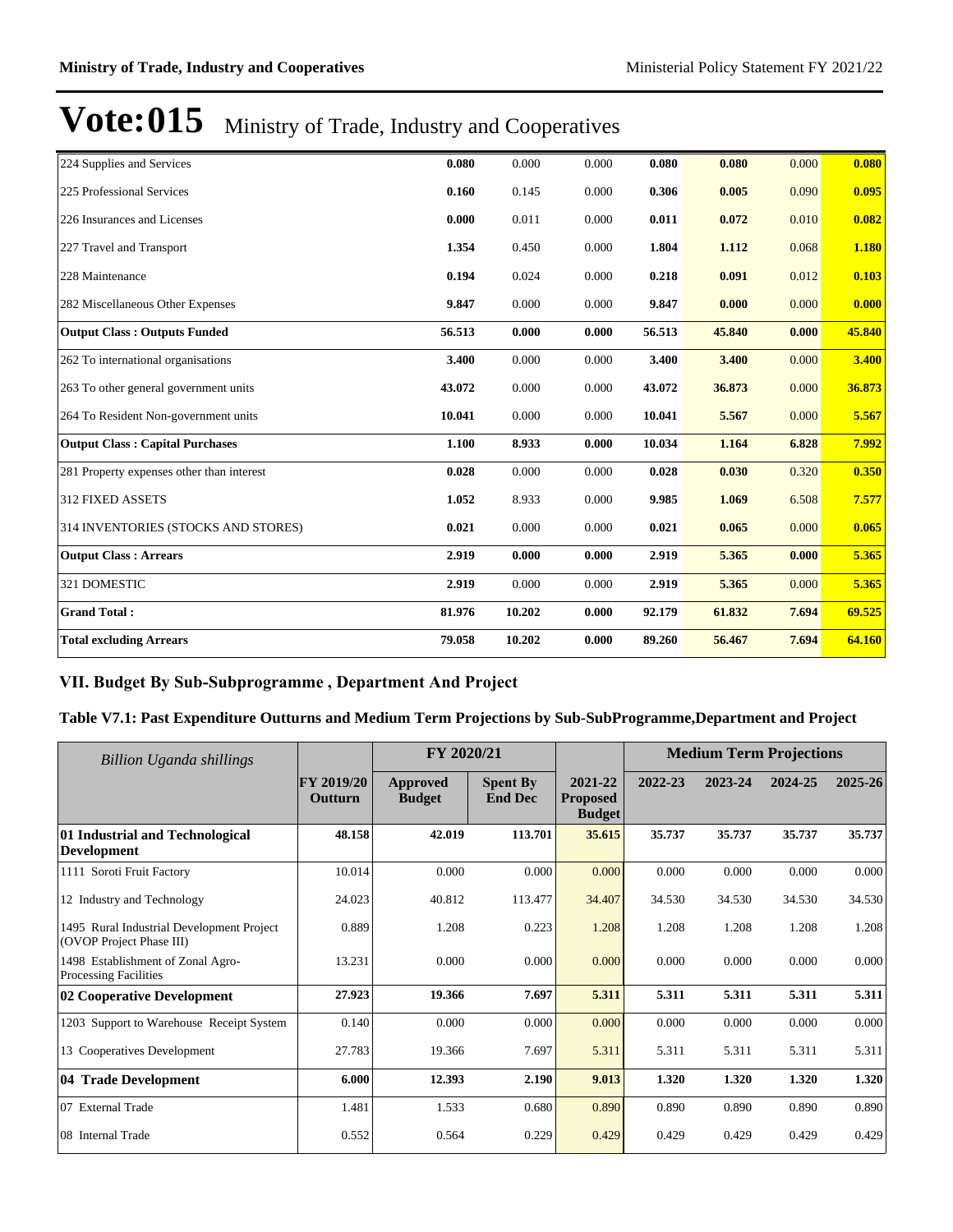| 224 Supplies and Services                 | 0.080  | 0.000  | 0.000 | 0.080  | 0.080  | 0.000 | 0.080  |
|-------------------------------------------|--------|--------|-------|--------|--------|-------|--------|
| 225 Professional Services                 | 0.160  | 0.145  | 0.000 | 0.306  | 0.005  | 0.090 | 0.095  |
| 226 Insurances and Licenses               | 0.000  | 0.011  | 0.000 | 0.011  | 0.072  | 0.010 | 0.082  |
| 227 Travel and Transport                  | 1.354  | 0.450  | 0.000 | 1.804  | 1.112  | 0.068 | 1.180  |
| 228 Maintenance                           | 0.194  | 0.024  | 0.000 | 0.218  | 0.091  | 0.012 | 0.103  |
| 282 Miscellaneous Other Expenses          | 9.847  | 0.000  | 0.000 | 9.847  | 0.000  | 0.000 | 0.000  |
| <b>Output Class: Outputs Funded</b>       | 56.513 | 0.000  | 0.000 | 56.513 | 45.840 | 0.000 | 45.840 |
| 262 To international organisations        | 3.400  | 0.000  | 0.000 | 3.400  | 3.400  | 0.000 | 3.400  |
| 263 To other general government units     | 43.072 | 0.000  | 0.000 | 43.072 | 36.873 | 0.000 | 36.873 |
| 264 To Resident Non-government units      | 10.041 | 0.000  | 0.000 | 10.041 | 5.567  | 0.000 | 5.567  |
| <b>Output Class: Capital Purchases</b>    | 1.100  | 8.933  | 0.000 | 10.034 | 1.164  | 6.828 | 7.992  |
| 281 Property expenses other than interest | 0.028  | 0.000  | 0.000 | 0.028  | 0.030  | 0.320 | 0.350  |
| 312 FIXED ASSETS                          | 1.052  | 8.933  | 0.000 | 9.985  | 1.069  | 6.508 | 7.577  |
| 314 INVENTORIES (STOCKS AND STORES)       | 0.021  | 0.000  | 0.000 | 0.021  | 0.065  | 0.000 | 0.065  |
| <b>Output Class: Arrears</b>              | 2.919  | 0.000  | 0.000 | 2.919  | 5.365  | 0.000 | 5.365  |
| 321 DOMESTIC                              | 2.919  | 0.000  | 0.000 | 2.919  | 5.365  | 0.000 | 5.365  |
| <b>Grand Total:</b>                       | 81.976 | 10.202 | 0.000 | 92.179 | 61.832 | 7.694 | 69.525 |
| <b>Total excluding Arrears</b>            | 79.058 | 10.202 | 0.000 | 89.260 | 56.467 | 7.694 | 64.160 |

### VII. Budget By Sub-Subprogramme, Department And Project

### **Table V7.1: Past Expenditure Outturns and Medium Term Projections by Sub-SubProgramme,Department and Project**

| Billion Uganda shillings                                              |                                     | FY 2020/21                |                                   |                                             |         | <b>Medium Term Projections</b> |         |         |
|-----------------------------------------------------------------------|-------------------------------------|---------------------------|-----------------------------------|---------------------------------------------|---------|--------------------------------|---------|---------|
|                                                                       | <b>FY 2019/20</b><br><b>Outturn</b> | Approved<br><b>Budget</b> | <b>Spent By</b><br><b>End Dec</b> | 2021-22<br><b>Proposed</b><br><b>Budget</b> | 2022-23 | 2023-24                        | 2024-25 | 2025-26 |
| 01 Industrial and Technological<br><b>Development</b>                 | 48.158                              | 42.019                    | 113.701                           | 35.615                                      | 35.737  | 35.737                         | 35.737  | 35.737  |
| 1111 Soroti Fruit Factory                                             | 10.014                              | 0.000                     | 0.000                             | 0.000                                       | 0.000   | 0.000                          | 0.000   | 0.000   |
| 12 Industry and Technology                                            | 24.023                              | 40.812                    | 113.477                           | 34.407                                      | 34.530  | 34.530                         | 34.530  | 34.530  |
| 1495 Rural Industrial Development Project<br>(OVOP Project Phase III) | 0.889                               | 1.208                     | 0.223                             | 1.208                                       | 1.208   | 1.208                          | 1.208   | 1.208   |
| 1498 Establishment of Zonal Agro-<br><b>Processing Facilities</b>     | 13.231                              | 0.000                     | 0.000                             | 0.000                                       | 0.000   | 0.000                          | 0.000   | 0.000   |
| 02 Cooperative Development                                            | 27.923                              | 19.366                    | 7.697                             | 5.311                                       | 5.311   | 5.311                          | 5.311   | 5.311   |
| 1203 Support to Warehouse Receipt System                              | 0.140                               | 0.000                     | 0.000                             | 0.000                                       | 0.000   | 0.000                          | 0.000   | 0.000   |
| 13 Cooperatives Development                                           | 27.783                              | 19.366                    | 7.697                             | 5.311                                       | 5.311   | 5.311                          | 5.311   | 5.311   |
| 04 Trade Development                                                  | 6.000                               | 12.393                    | 2.190                             | 9.013                                       | 1.320   | 1.320                          | 1.320   | 1.320   |
| 07 External Trade                                                     | 1.481                               | 1.533                     | 0.680                             | 0.890                                       | 0.890   | 0.890                          | 0.890   | 0.890   |
| 08 Internal Trade                                                     | 0.552                               | 0.564                     | 0.229                             | 0.429                                       | 0.429   | 0.429                          | 0.429   | 0.429   |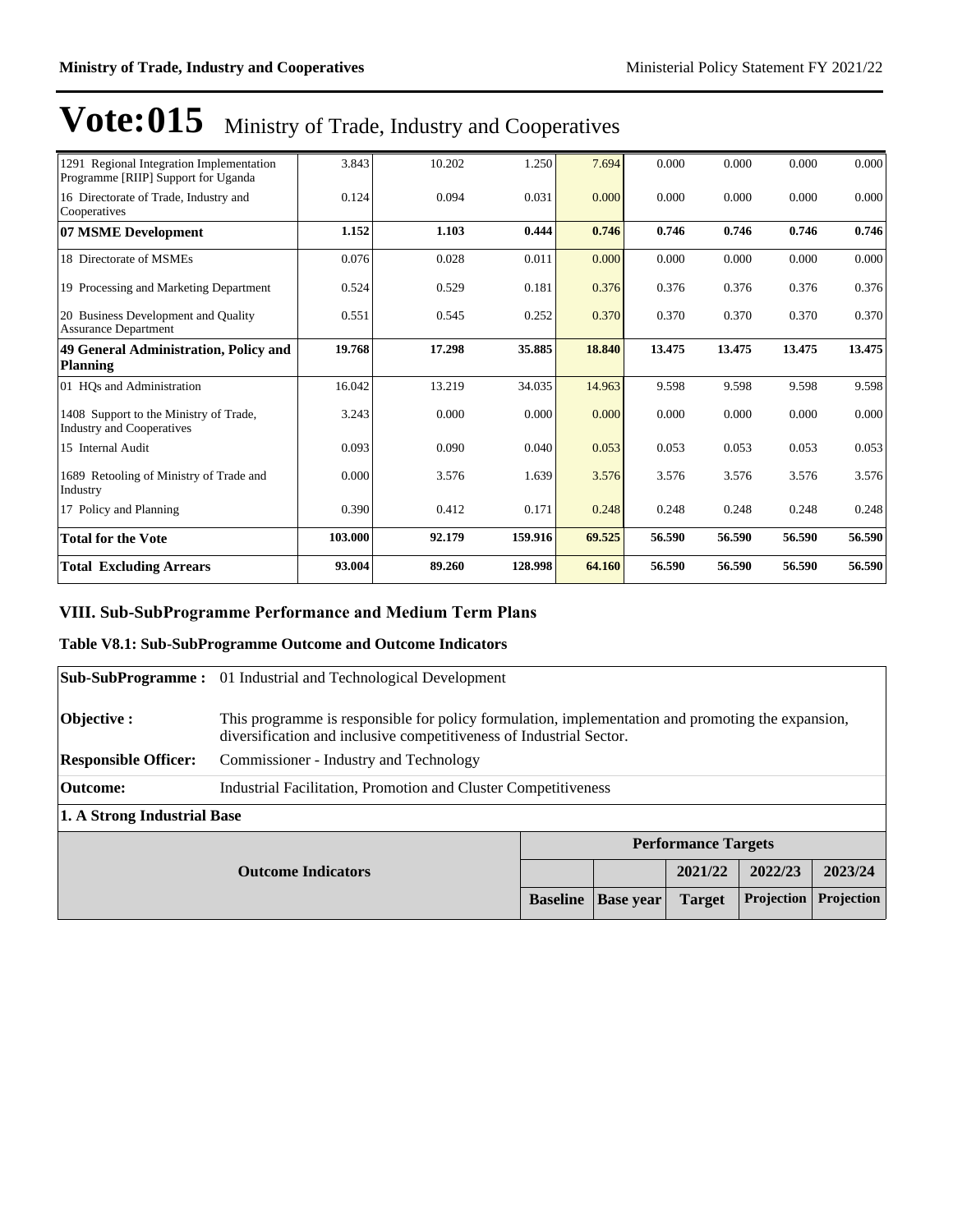| 1291 Regional Integration Implementation<br>Programme [RIIP] Support for Uganda | 3.843   | 10.202 | 1.250   | 7.694  | 0.000  | 0.000  | 0.000  | 0.000  |
|---------------------------------------------------------------------------------|---------|--------|---------|--------|--------|--------|--------|--------|
| 16 Directorate of Trade, Industry and<br>Cooperatives                           | 0.124   | 0.094  | 0.031   | 0.000  | 0.000  | 0.000  | 0.000  | 0.000  |
| 07 MSME Development                                                             | 1.152   | 1.103  | 0.444   | 0.746  | 0.746  | 0.746  | 0.746  | 0.746  |
| 18 Directorate of MSMEs                                                         | 0.076   | 0.028  | 0.011   | 0.000  | 0.000  | 0.000  | 0.000  | 0.000  |
| 19 Processing and Marketing Department                                          | 0.524   | 0.529  | 0.181   | 0.376  | 0.376  | 0.376  | 0.376  | 0.376  |
| 20 Business Development and Quality<br><b>Assurance Department</b>              | 0.551   | 0.545  | 0.252   | 0.370  | 0.370  | 0.370  | 0.370  | 0.370  |
| 49 General Administration, Policy and<br>Planning                               | 19.768  | 17.298 | 35.885  | 18.840 | 13.475 | 13.475 | 13.475 | 13.475 |
| 01 HQs and Administration                                                       | 16.042  | 13.219 | 34.035  | 14.963 | 9.598  | 9.598  | 9.598  | 9.598  |
| 1408 Support to the Ministry of Trade,<br>Industry and Cooperatives             | 3.243   | 0.000  | 0.000   | 0.000  | 0.000  | 0.000  | 0.000  | 0.000  |
| 15 Internal Audit                                                               | 0.093   | 0.090  | 0.040   | 0.053  | 0.053  | 0.053  | 0.053  | 0.053  |
| 1689 Retooling of Ministry of Trade and<br>Industry                             | 0.000   | 3.576  | 1.639   | 3.576  | 3.576  | 3.576  | 3.576  | 3.576  |
| 17 Policy and Planning                                                          | 0.390   | 0.412  | 0.171   | 0.248  | 0.248  | 0.248  | 0.248  | 0.248  |
| <b>Total for the Vote</b>                                                       | 103.000 | 92.179 | 159.916 | 69.525 | 56.590 | 56.590 | 56.590 | 56.590 |
| <b>Total Excluding Arrears</b>                                                  | 93.004  | 89.260 | 128.998 | 64.160 | 56.590 | 56.590 | 56.590 | 56.590 |

### VIII. Sub-SubProgramme Performance and Medium Term Plans

### **Table V8.1: Sub-SubProgramme Outcome and Outcome Indicators**

|                             | <b>Sub-SubProgramme:</b> 01 Industrial and Technological Development                                                                                                     |                 |                  |                            |            |            |  |  |
|-----------------------------|--------------------------------------------------------------------------------------------------------------------------------------------------------------------------|-----------------|------------------|----------------------------|------------|------------|--|--|
| Objective :                 | This programme is responsible for policy formulation, implementation and promoting the expansion,<br>diversification and inclusive competitiveness of Industrial Sector. |                 |                  |                            |            |            |  |  |
| <b>Responsible Officer:</b> | Commissioner - Industry and Technology                                                                                                                                   |                 |                  |                            |            |            |  |  |
| Outcome:                    | Industrial Facilitation, Promotion and Cluster Competitiveness                                                                                                           |                 |                  |                            |            |            |  |  |
| 1. A Strong Industrial Base |                                                                                                                                                                          |                 |                  |                            |            |            |  |  |
|                             |                                                                                                                                                                          |                 |                  | <b>Performance Targets</b> |            |            |  |  |
|                             | <b>Outcome Indicators</b>                                                                                                                                                |                 |                  | 2021/22                    | 2022/23    | 2023/24    |  |  |
|                             |                                                                                                                                                                          | <b>Baseline</b> | <b>Base year</b> | <b>Target</b>              | Projection | Projection |  |  |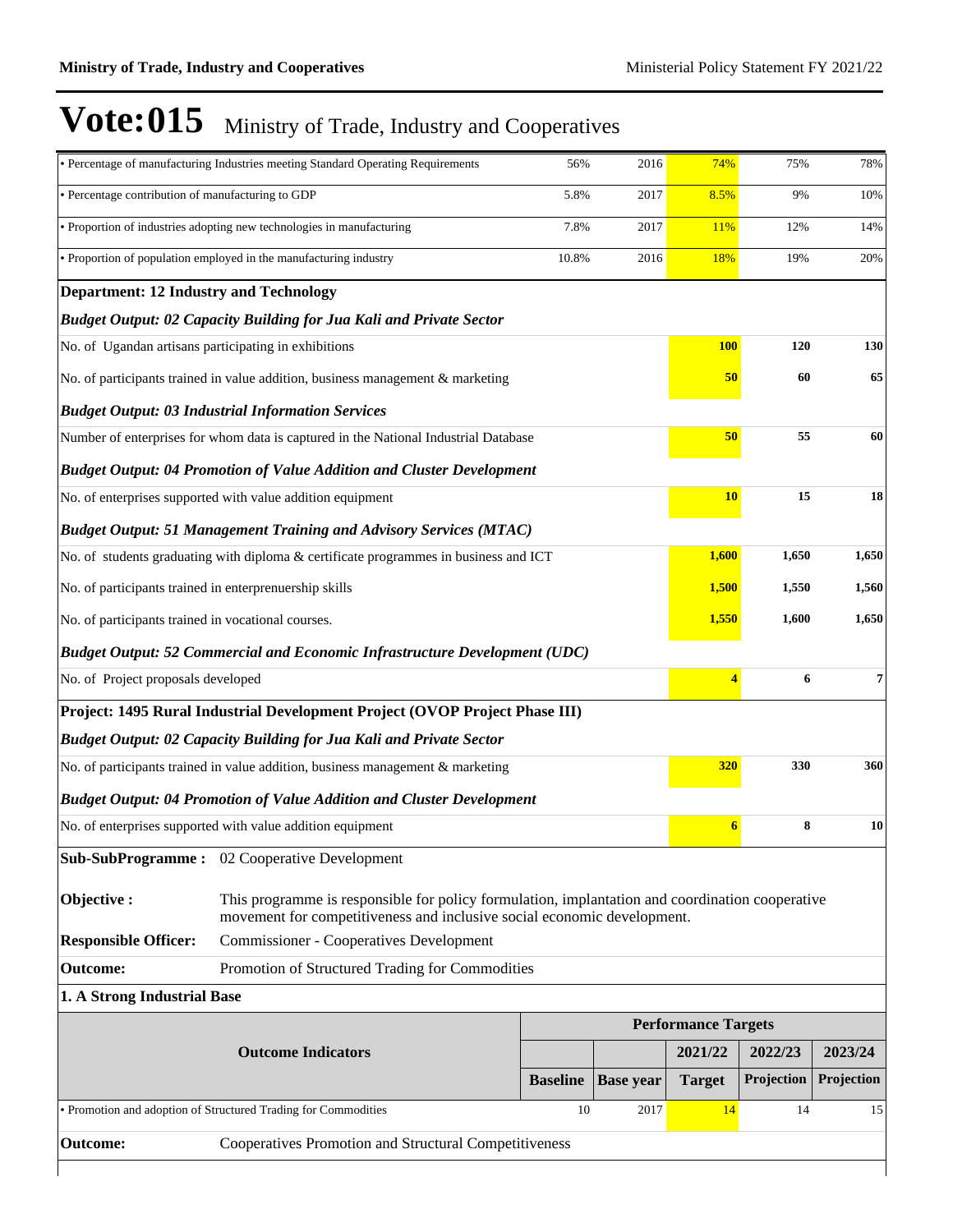|                                                                                      | · Percentage of manufacturing Industries meeting Standard Operating Requirements                                                                                           | 56%             | 2016             | 74%                        | 75%            | 78%        |
|--------------------------------------------------------------------------------------|----------------------------------------------------------------------------------------------------------------------------------------------------------------------------|-----------------|------------------|----------------------------|----------------|------------|
| • Percentage contribution of manufacturing to GDP                                    |                                                                                                                                                                            | 5.8%            | 2017             | 8.5%                       | 9%             | 10%        |
|                                                                                      | • Proportion of industries adopting new technologies in manufacturing                                                                                                      | 7.8%            | 2017             | <b>11%</b>                 | 12%            | 14%        |
|                                                                                      | • Proportion of population employed in the manufacturing industry                                                                                                          | 10.8%           | 2016             | 18%                        | 19%            | 20%        |
| <b>Department: 12 Industry and Technology</b>                                        |                                                                                                                                                                            |                 |                  |                            |                |            |
|                                                                                      | Budget Output: 02 Capacity Building for Jua Kali and Private Sector                                                                                                        |                 |                  |                            |                |            |
| No. of Ugandan artisans participating in exhibitions                                 |                                                                                                                                                                            |                 |                  | <b>100</b>                 | 120            | 130        |
|                                                                                      | No. of participants trained in value addition, business management & marketing                                                                                             |                 |                  | 50                         | 60             | 65         |
|                                                                                      | <b>Budget Output: 03 Industrial Information Services</b>                                                                                                                   |                 |                  |                            |                |            |
|                                                                                      | Number of enterprises for whom data is captured in the National Industrial Database                                                                                        |                 |                  | 50                         | 55             | 60         |
|                                                                                      | <b>Budget Output: 04 Promotion of Value Addition and Cluster Development</b>                                                                                               |                 |                  |                            |                |            |
|                                                                                      | No. of enterprises supported with value addition equipment                                                                                                                 |                 |                  | <b>10</b>                  | 15             | 18         |
|                                                                                      | <b>Budget Output: 51 Management Training and Advisory Services (MTAC)</b>                                                                                                  |                 |                  |                            |                |            |
| No. of students graduating with diploma & certificate programmes in business and ICT | 1,600                                                                                                                                                                      | 1,650           | 1,650            |                            |                |            |
| No. of participants trained in enterprenuership skills                               | 1,500                                                                                                                                                                      | 1,550           | 1,560            |                            |                |            |
| No. of participants trained in vocational courses.                                   |                                                                                                                                                                            |                 |                  |                            | 1,550<br>1,600 | 1,650      |
|                                                                                      | <b>Budget Output: 52 Commercial and Economic Infrastructure Development (UDC)</b>                                                                                          |                 |                  |                            |                |            |
| No. of Project proposals developed                                                   |                                                                                                                                                                            |                 |                  |                            | 6              | 7          |
|                                                                                      | Project: 1495 Rural Industrial Development Project (OVOP Project Phase III)                                                                                                |                 |                  |                            |                |            |
|                                                                                      | <b>Budget Output: 02 Capacity Building for Jua Kali and Private Sector</b>                                                                                                 |                 |                  |                            |                |            |
|                                                                                      | No. of participants trained in value addition, business management & marketing                                                                                             |                 |                  | 320                        | 330            | 360        |
|                                                                                      | <b>Budget Output: 04 Promotion of Value Addition and Cluster Development</b>                                                                                               |                 |                  |                            |                |            |
|                                                                                      | No. of enterprises supported with value addition equipment                                                                                                                 |                 |                  | $\epsilon$                 | 8              | 10         |
|                                                                                      | Sub-SubProgramme: 02 Cooperative Development                                                                                                                               |                 |                  |                            |                |            |
| Objective:                                                                           | This programme is responsible for policy formulation, implantation and coordination cooperative<br>movement for competitiveness and inclusive social economic development. |                 |                  |                            |                |            |
| <b>Responsible Officer:</b>                                                          | <b>Commissioner - Cooperatives Development</b>                                                                                                                             |                 |                  |                            |                |            |
| <b>Outcome:</b>                                                                      | Promotion of Structured Trading for Commodities                                                                                                                            |                 |                  |                            |                |            |
| 1. A Strong Industrial Base                                                          |                                                                                                                                                                            |                 |                  |                            |                |            |
|                                                                                      |                                                                                                                                                                            |                 |                  | <b>Performance Targets</b> |                |            |
|                                                                                      | <b>Outcome Indicators</b>                                                                                                                                                  |                 |                  | 2021/22                    | 2022/23        | 2023/24    |
|                                                                                      |                                                                                                                                                                            | <b>Baseline</b> | <b>Base year</b> | <b>Target</b>              | Projection     | Projection |
|                                                                                      | • Promotion and adoption of Structured Trading for Commodities                                                                                                             | 10              | 2017             | 14                         | 14             | 15         |
| <b>Outcome:</b>                                                                      | Cooperatives Promotion and Structural Competitiveness                                                                                                                      |                 |                  |                            |                |            |
|                                                                                      |                                                                                                                                                                            |                 |                  |                            |                |            |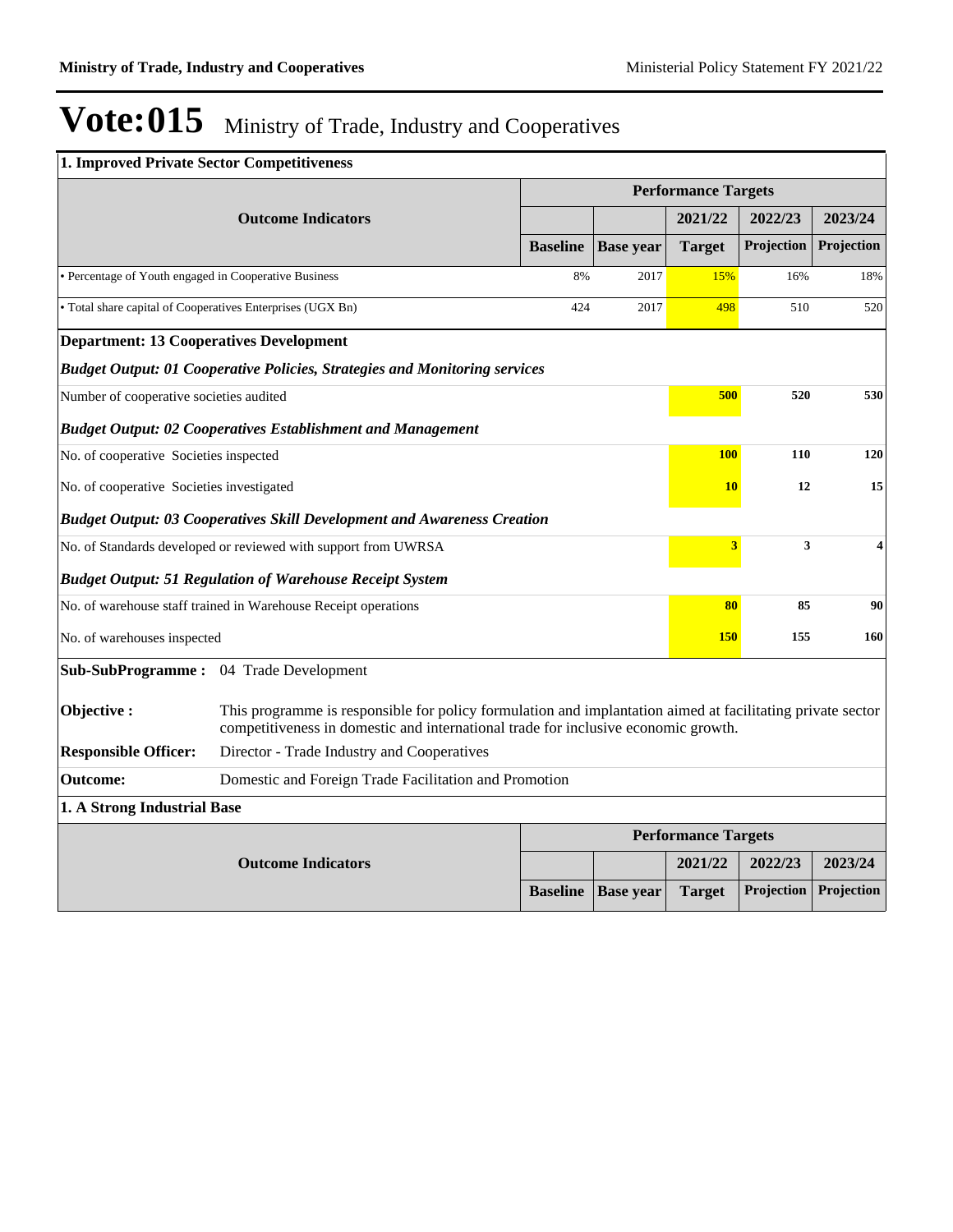| 1. Improved Private Sector Competitiveness                 |                                                                                                                                                                                                  |                 |                  |                            |                   |            |
|------------------------------------------------------------|--------------------------------------------------------------------------------------------------------------------------------------------------------------------------------------------------|-----------------|------------------|----------------------------|-------------------|------------|
|                                                            |                                                                                                                                                                                                  |                 |                  | <b>Performance Targets</b> |                   |            |
|                                                            | <b>Outcome Indicators</b>                                                                                                                                                                        |                 |                  | 2021/22                    | 2022/23           | 2023/24    |
|                                                            |                                                                                                                                                                                                  | <b>Baseline</b> | <b>Base year</b> | <b>Target</b>              | Projection        | Projection |
| • Percentage of Youth engaged in Cooperative Business      |                                                                                                                                                                                                  | 8%              | 2017             | 15%                        | 16%               | 18%        |
| • Total share capital of Cooperatives Enterprises (UGX Bn) |                                                                                                                                                                                                  | 424             | 2017             | 498                        | 510               | 520        |
| <b>Department: 13 Cooperatives Development</b>             |                                                                                                                                                                                                  |                 |                  |                            |                   |            |
|                                                            | <b>Budget Output: 01 Cooperative Policies, Strategies and Monitoring services</b>                                                                                                                |                 |                  |                            |                   |            |
| Number of cooperative societies audited                    |                                                                                                                                                                                                  |                 |                  |                            | 500<br>520        | 530        |
|                                                            | <b>Budget Output: 02 Cooperatives Establishment and Management</b>                                                                                                                               |                 |                  |                            |                   |            |
| No. of cooperative Societies inspected                     |                                                                                                                                                                                                  |                 |                  |                            | <b>100</b><br>110 | 120        |
| No. of cooperative Societies investigated                  |                                                                                                                                                                                                  |                 |                  |                            | 12<br><b>10</b>   | 15         |
|                                                            | <b>Budget Output: 03 Cooperatives Skill Development and Awareness Creation</b>                                                                                                                   |                 |                  |                            |                   |            |
|                                                            | No. of Standards developed or reviewed with support from UWRSA                                                                                                                                   |                 |                  | 3                          | 3                 | 4          |
|                                                            | <b>Budget Output: 51 Regulation of Warehouse Receipt System</b>                                                                                                                                  |                 |                  |                            |                   |            |
|                                                            | No. of warehouse staff trained in Warehouse Receipt operations                                                                                                                                   |                 |                  | 80                         | 85                | 90         |
| No. of warehouses inspected                                |                                                                                                                                                                                                  |                 |                  | <b>150</b>                 | 155               | 160        |
| <b>Sub-SubProgramme:</b>                                   | 04 Trade Development                                                                                                                                                                             |                 |                  |                            |                   |            |
| Objective:                                                 | This programme is responsible for policy formulation and implantation aimed at facilitating private sector<br>competitiveness in domestic and international trade for inclusive economic growth. |                 |                  |                            |                   |            |
| <b>Responsible Officer:</b>                                | Director - Trade Industry and Cooperatives                                                                                                                                                       |                 |                  |                            |                   |            |
| <b>Outcome:</b>                                            | Domestic and Foreign Trade Facilitation and Promotion                                                                                                                                            |                 |                  |                            |                   |            |
| 1. A Strong Industrial Base                                |                                                                                                                                                                                                  |                 |                  |                            |                   |            |
|                                                            |                                                                                                                                                                                                  |                 |                  | <b>Performance Targets</b> |                   |            |
|                                                            | <b>Outcome Indicators</b>                                                                                                                                                                        |                 |                  | 2021/22                    | 2022/23           | 2023/24    |
|                                                            |                                                                                                                                                                                                  | <b>Baseline</b> | <b>Base year</b> | <b>Target</b>              | Projection        | Projection |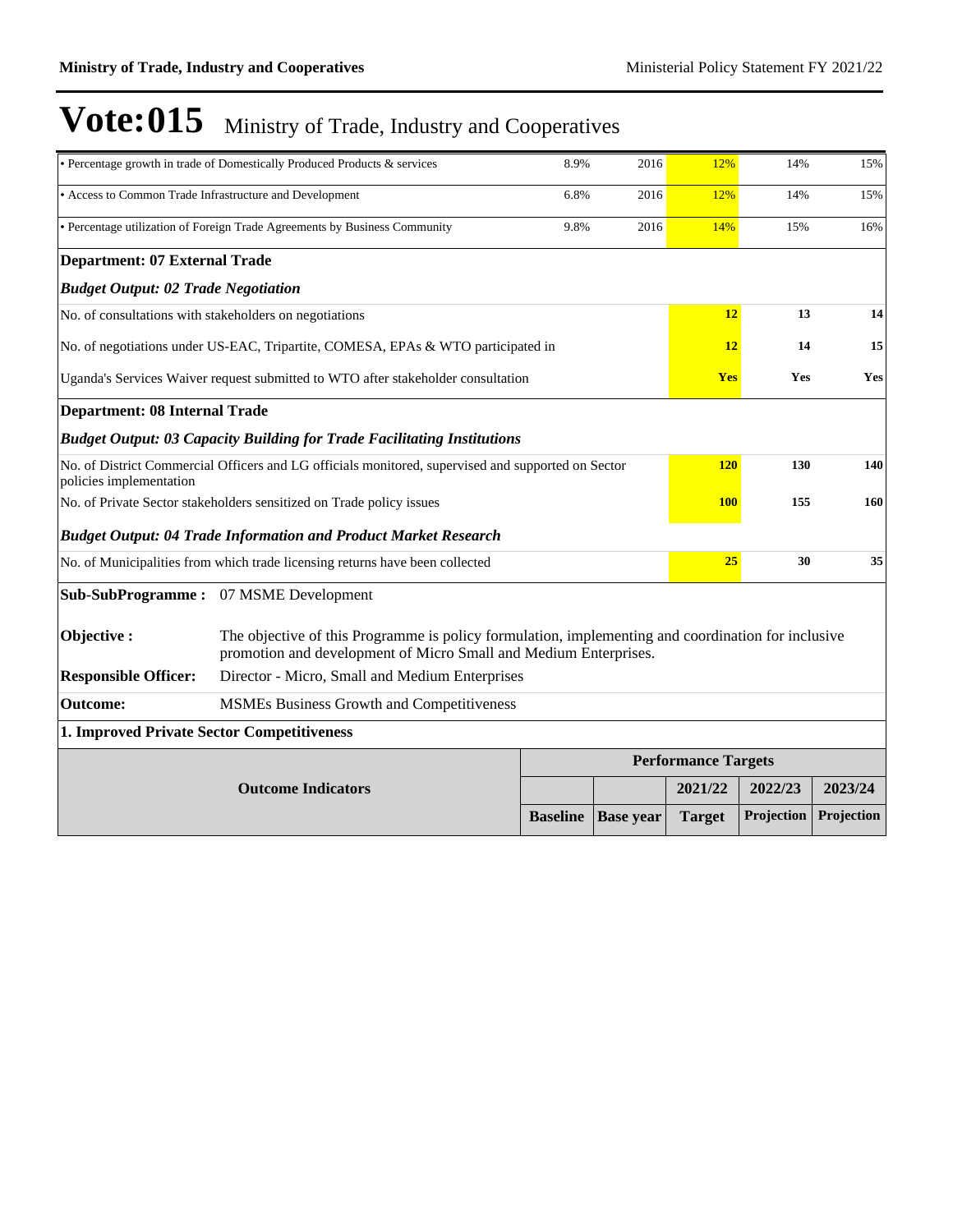|                                                                                                                               | • Percentage growth in trade of Domestically Produced Products & services                                                                                              | 8.9%            | 2016             | 12%                        | 14%               | 15%        |
|-------------------------------------------------------------------------------------------------------------------------------|------------------------------------------------------------------------------------------------------------------------------------------------------------------------|-----------------|------------------|----------------------------|-------------------|------------|
| • Access to Common Trade Infrastructure and Development                                                                       |                                                                                                                                                                        | 6.8%            | 2016             | 12%                        | 14%               | 15%        |
|                                                                                                                               | • Percentage utilization of Foreign Trade Agreements by Business Community                                                                                             | 9.8%            | 2016             | 14%                        | 15%               | 16%        |
| <b>Department: 07 External Trade</b>                                                                                          |                                                                                                                                                                        |                 |                  |                            |                   |            |
| <b>Budget Output: 02 Trade Negotiation</b>                                                                                    |                                                                                                                                                                        |                 |                  |                            |                   |            |
| No. of consultations with stakeholders on negotiations                                                                        |                                                                                                                                                                        |                 |                  | 12                         | 13                | 14         |
| No. of negotiations under US-EAC, Tripartite, COMESA, EPAs & WTO participated in                                              |                                                                                                                                                                        |                 |                  |                            | 12<br>14          | 15         |
| Uganda's Services Waiver request submitted to WTO after stakeholder consultation                                              |                                                                                                                                                                        | <b>Yes</b>      | Yes              | Yes                        |                   |            |
| <b>Department: 08 Internal Trade</b>                                                                                          |                                                                                                                                                                        |                 |                  |                            |                   |            |
|                                                                                                                               | <b>Budget Output: 03 Capacity Building for Trade Facilitating Institutions</b>                                                                                         |                 |                  |                            |                   |            |
| No. of District Commercial Officers and LG officials monitored, supervised and supported on Sector<br>policies implementation |                                                                                                                                                                        |                 |                  |                            | <b>120</b><br>130 | 140        |
|                                                                                                                               | No. of Private Sector stakeholders sensitized on Trade policy issues                                                                                                   |                 |                  | <b>100</b>                 | 155               | 160        |
|                                                                                                                               | <b>Budget Output: 04 Trade Information and Product Market Research</b>                                                                                                 |                 |                  |                            |                   |            |
|                                                                                                                               | No. of Municipalities from which trade licensing returns have been collected                                                                                           |                 |                  | 25                         | 30                | 35         |
|                                                                                                                               | <b>Sub-SubProgramme:</b> 07 MSME Development                                                                                                                           |                 |                  |                            |                   |            |
| Objective :                                                                                                                   | The objective of this Programme is policy formulation, implementing and coordination for inclusive<br>promotion and development of Micro Small and Medium Enterprises. |                 |                  |                            |                   |            |
| <b>Responsible Officer:</b>                                                                                                   | Director - Micro, Small and Medium Enterprises                                                                                                                         |                 |                  |                            |                   |            |
| Outcome:                                                                                                                      | MSMEs Business Growth and Competitiveness                                                                                                                              |                 |                  |                            |                   |            |
| 1. Improved Private Sector Competitiveness                                                                                    |                                                                                                                                                                        |                 |                  |                            |                   |            |
|                                                                                                                               |                                                                                                                                                                        |                 |                  | <b>Performance Targets</b> |                   |            |
|                                                                                                                               | <b>Outcome Indicators</b>                                                                                                                                              |                 |                  | 2021/22                    | 2022/23           | 2023/24    |
|                                                                                                                               |                                                                                                                                                                        | <b>Baseline</b> | <b>Base year</b> | <b>Target</b>              | Projection        | Projection |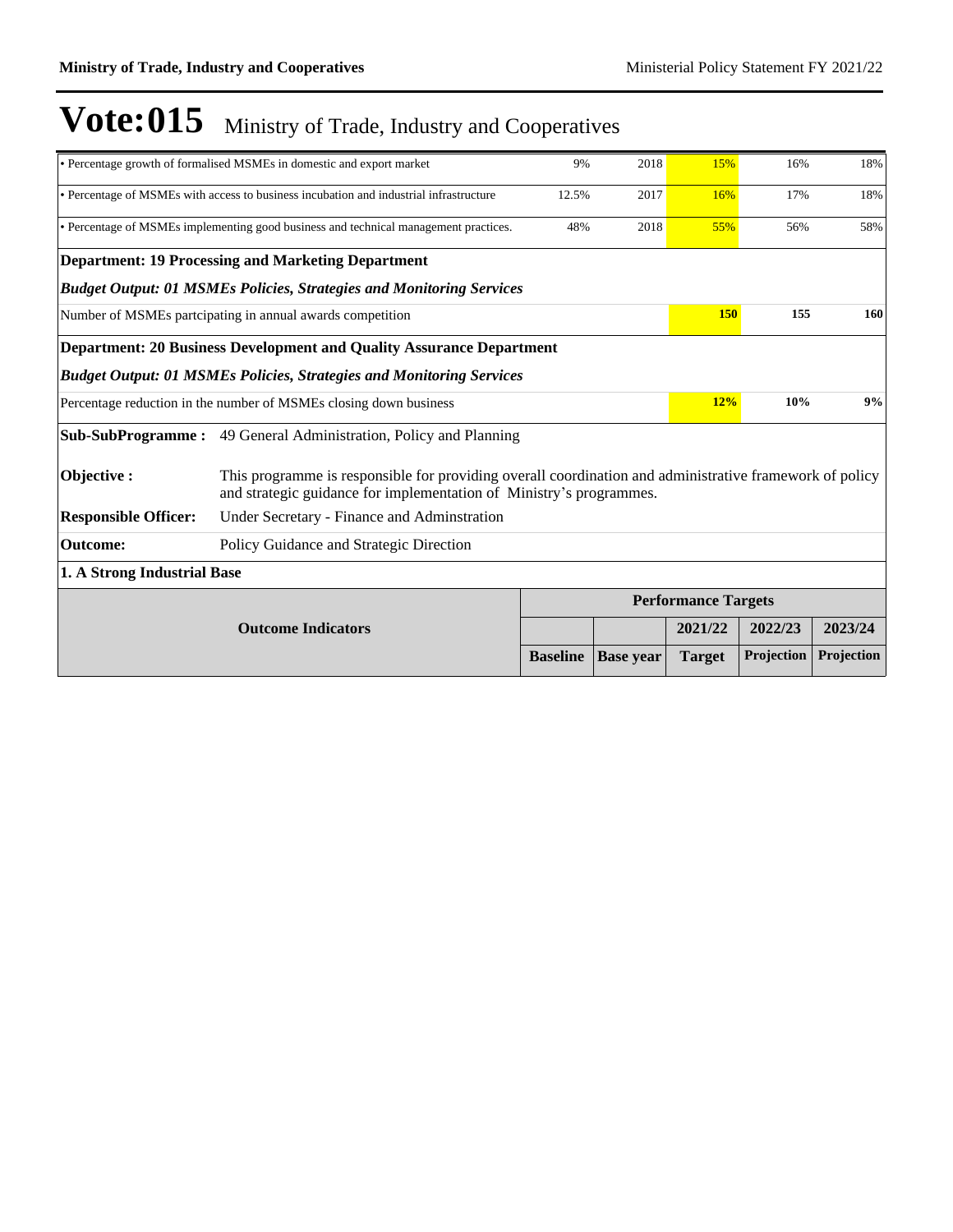|                                                                                 | • Percentage growth of formalised MSMEs in domestic and export market                                                                                                          | 9%              | 2018             | 15%                        | 16%               | 18%        |  |  |
|---------------------------------------------------------------------------------|--------------------------------------------------------------------------------------------------------------------------------------------------------------------------------|-----------------|------------------|----------------------------|-------------------|------------|--|--|
|                                                                                 | • Percentage of MSMEs with access to business incubation and industrial infrastructure                                                                                         | 12.5%           | 2017             | 16%                        | 17%               | 18%        |  |  |
|                                                                                 | • Percentage of MSMEs implementing good business and technical management practices.                                                                                           | 48%             | 2018             | 55%                        | 56%               | 58%        |  |  |
|                                                                                 | <b>Department: 19 Processing and Marketing Department</b>                                                                                                                      |                 |                  |                            |                   |            |  |  |
|                                                                                 | <b>Budget Output: 01 MSMEs Policies, Strategies and Monitoring Services</b>                                                                                                    |                 |                  |                            |                   |            |  |  |
|                                                                                 | Number of MSMEs partcipating in annual awards competition                                                                                                                      |                 |                  | 150                        | 155               | 160        |  |  |
| Department: 20 Business Development and Quality Assurance Department            |                                                                                                                                                                                |                 |                  |                            |                   |            |  |  |
| <b>Budget Output: 01 MSMEs Policies, Strategies and Monitoring Services</b>     |                                                                                                                                                                                |                 |                  |                            |                   |            |  |  |
| 12%<br>10%<br>Percentage reduction in the number of MSMEs closing down business |                                                                                                                                                                                |                 |                  |                            | 9%                |            |  |  |
| <b>Sub-SubProgramme :</b>                                                       | 49 General Administration, Policy and Planning                                                                                                                                 |                 |                  |                            |                   |            |  |  |
| Objective :                                                                     | This programme is responsible for providing overall coordination and administrative framework of policy<br>and strategic guidance for implementation of Ministry's programmes. |                 |                  |                            |                   |            |  |  |
| <b>Responsible Officer:</b>                                                     | Under Secretary - Finance and Adminstration                                                                                                                                    |                 |                  |                            |                   |            |  |  |
| Outcome:                                                                        | Policy Guidance and Strategic Direction                                                                                                                                        |                 |                  |                            |                   |            |  |  |
| 1. A Strong Industrial Base                                                     |                                                                                                                                                                                |                 |                  |                            |                   |            |  |  |
|                                                                                 |                                                                                                                                                                                |                 |                  | <b>Performance Targets</b> |                   |            |  |  |
| <b>Outcome Indicators</b>                                                       |                                                                                                                                                                                |                 |                  | 2021/22                    | 2022/23           | 2023/24    |  |  |
|                                                                                 |                                                                                                                                                                                | <b>Baseline</b> | <b>Base</b> year | <b>Target</b>              | <b>Projection</b> | Projection |  |  |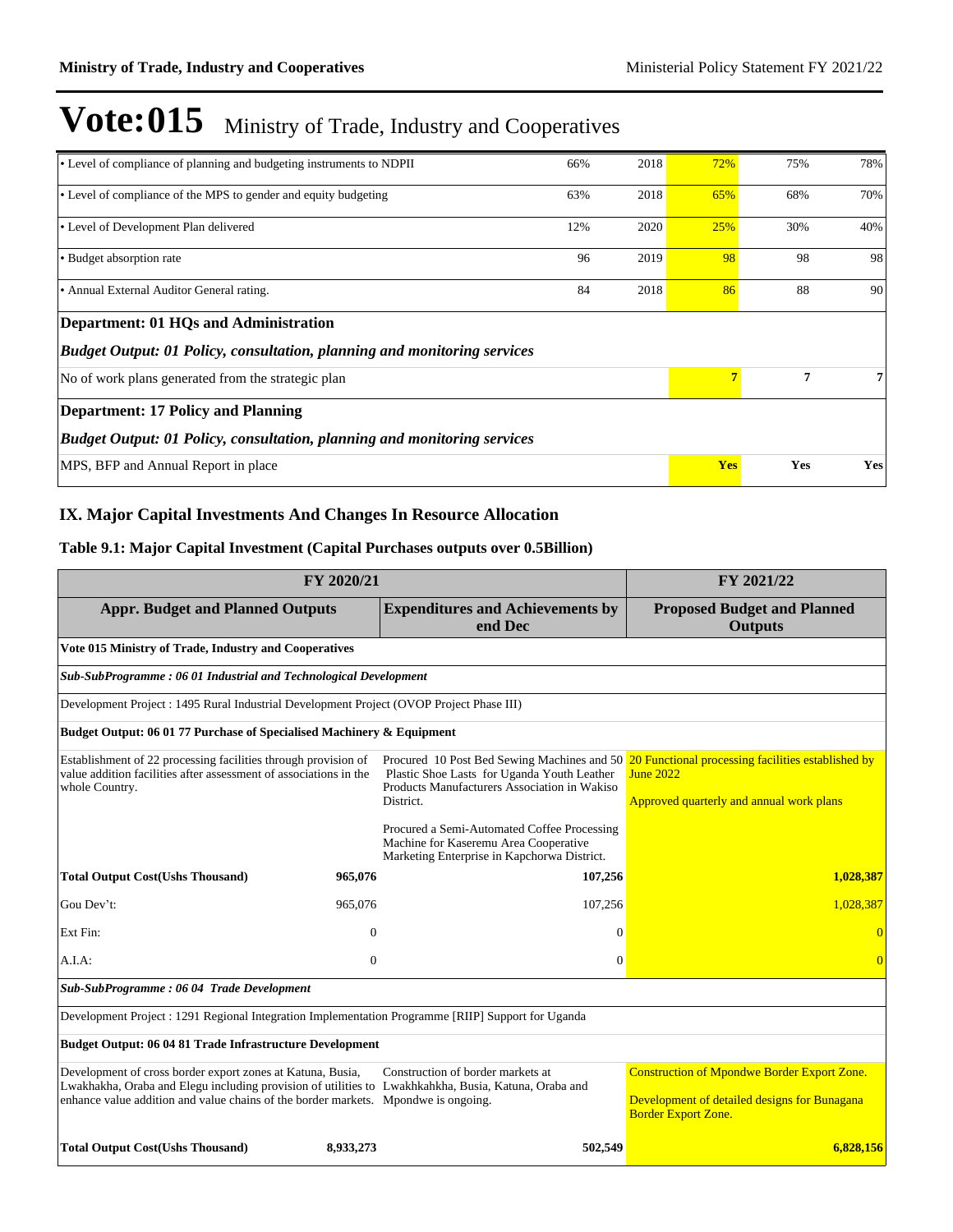| • Level of compliance of planning and budgeting instruments to NDPII            | 66% | 2018 | 72%        | 75% | 78% |  |  |
|---------------------------------------------------------------------------------|-----|------|------------|-----|-----|--|--|
| • Level of compliance of the MPS to gender and equity budgeting                 | 63% | 2018 | 65%        | 68% | 70% |  |  |
| • Level of Development Plan delivered                                           | 12% | 2020 | 25%        | 30% | 40% |  |  |
| • Budget absorption rate                                                        | 96  | 2019 | 98         | 98  | 98  |  |  |
| • Annual External Auditor General rating.                                       | 84  | 2018 | 86         | 88  | 90  |  |  |
| Department: 01 HQs and Administration                                           |     |      |            |     |     |  |  |
| <b>Budget Output: 01 Policy, consultation, planning and monitoring services</b> |     |      |            |     |     |  |  |
| No of work plans generated from the strategic plan                              |     |      |            | 7   | 7   |  |  |
| <b>Department: 17 Policy and Planning</b>                                       |     |      |            |     |     |  |  |
| Budget Output: 01 Policy, consultation, planning and monitoring services        |     |      |            |     |     |  |  |
| MPS, BFP and Annual Report in place                                             |     |      | <b>Yes</b> | Yes | Yes |  |  |

### **IX. Major Capital Investments And Changes In Resource Allocation**

### **Table 9.1: Major Capital Investment (Capital Purchases outputs over 0.5Billion)**

| FY 2020/21                                                                                                                                                                                                                                               |              |                                                                                                                                     | FY 2021/22                                                                                                                                                     |  |  |  |  |
|----------------------------------------------------------------------------------------------------------------------------------------------------------------------------------------------------------------------------------------------------------|--------------|-------------------------------------------------------------------------------------------------------------------------------------|----------------------------------------------------------------------------------------------------------------------------------------------------------------|--|--|--|--|
| <b>Appr. Budget and Planned Outputs</b>                                                                                                                                                                                                                  |              | <b>Expenditures and Achievements by</b><br>end Dec                                                                                  | <b>Proposed Budget and Planned</b><br><b>Outputs</b>                                                                                                           |  |  |  |  |
| Vote 015 Ministry of Trade, Industry and Cooperatives                                                                                                                                                                                                    |              |                                                                                                                                     |                                                                                                                                                                |  |  |  |  |
| Sub-SubProgramme: 06 01 Industrial and Technological Development                                                                                                                                                                                         |              |                                                                                                                                     |                                                                                                                                                                |  |  |  |  |
| Development Project : 1495 Rural Industrial Development Project (OVOP Project Phase III)                                                                                                                                                                 |              |                                                                                                                                     |                                                                                                                                                                |  |  |  |  |
| Budget Output: 06 01 77 Purchase of Specialised Machinery & Equipment                                                                                                                                                                                    |              |                                                                                                                                     |                                                                                                                                                                |  |  |  |  |
| Establishment of 22 processing facilities through provision of<br>value addition facilities after assessment of associations in the<br>whole Country.                                                                                                    |              | Plastic Shoe Lasts for Uganda Youth Leather<br>Products Manufacturers Association in Wakiso<br>District.                            | Procured 10 Post Bed Sewing Machines and 50 20 Functional processing facilities established by<br><b>June 2022</b><br>Approved quarterly and annual work plans |  |  |  |  |
|                                                                                                                                                                                                                                                          |              | Procured a Semi-Automated Coffee Processing<br>Machine for Kaseremu Area Cooperative<br>Marketing Enterprise in Kapchorwa District. |                                                                                                                                                                |  |  |  |  |
| <b>Total Output Cost(Ushs Thousand)</b>                                                                                                                                                                                                                  | 965,076      | 107,256                                                                                                                             | 1,028,387                                                                                                                                                      |  |  |  |  |
| Gou Dev't:                                                                                                                                                                                                                                               | 965,076      | 107,256                                                                                                                             | 1,028,387                                                                                                                                                      |  |  |  |  |
| Ext Fin:                                                                                                                                                                                                                                                 | $\mathbf{0}$ | $\Omega$                                                                                                                            |                                                                                                                                                                |  |  |  |  |
| A.I.A.                                                                                                                                                                                                                                                   | $\Omega$     | $\Omega$                                                                                                                            | $\overline{0}$                                                                                                                                                 |  |  |  |  |
| Sub-SubProgramme: 06 04 Trade Development                                                                                                                                                                                                                |              |                                                                                                                                     |                                                                                                                                                                |  |  |  |  |
| Development Project : 1291 Regional Integration Implementation Programme [RIIP] Support for Uganda                                                                                                                                                       |              |                                                                                                                                     |                                                                                                                                                                |  |  |  |  |
| Budget Output: 06 04 81 Trade Infrastructure Development                                                                                                                                                                                                 |              |                                                                                                                                     |                                                                                                                                                                |  |  |  |  |
| Development of cross border export zones at Katuna, Busia,<br>Lwakhakha, Oraba and Elegu including provision of utilities to Lwakhkahkha, Busia, Katuna, Oraba and<br>enhance value addition and value chains of the border markets. Mpondwe is ongoing. |              | Construction of border markets at                                                                                                   | <b>Construction of Mpondwe Border Export Zone.</b><br>Development of detailed designs for Bunagana<br><b>Border Export Zone.</b>                               |  |  |  |  |
| <b>Total Output Cost(Ushs Thousand)</b>                                                                                                                                                                                                                  | 8,933,273    | 502,549                                                                                                                             | 6,828,156                                                                                                                                                      |  |  |  |  |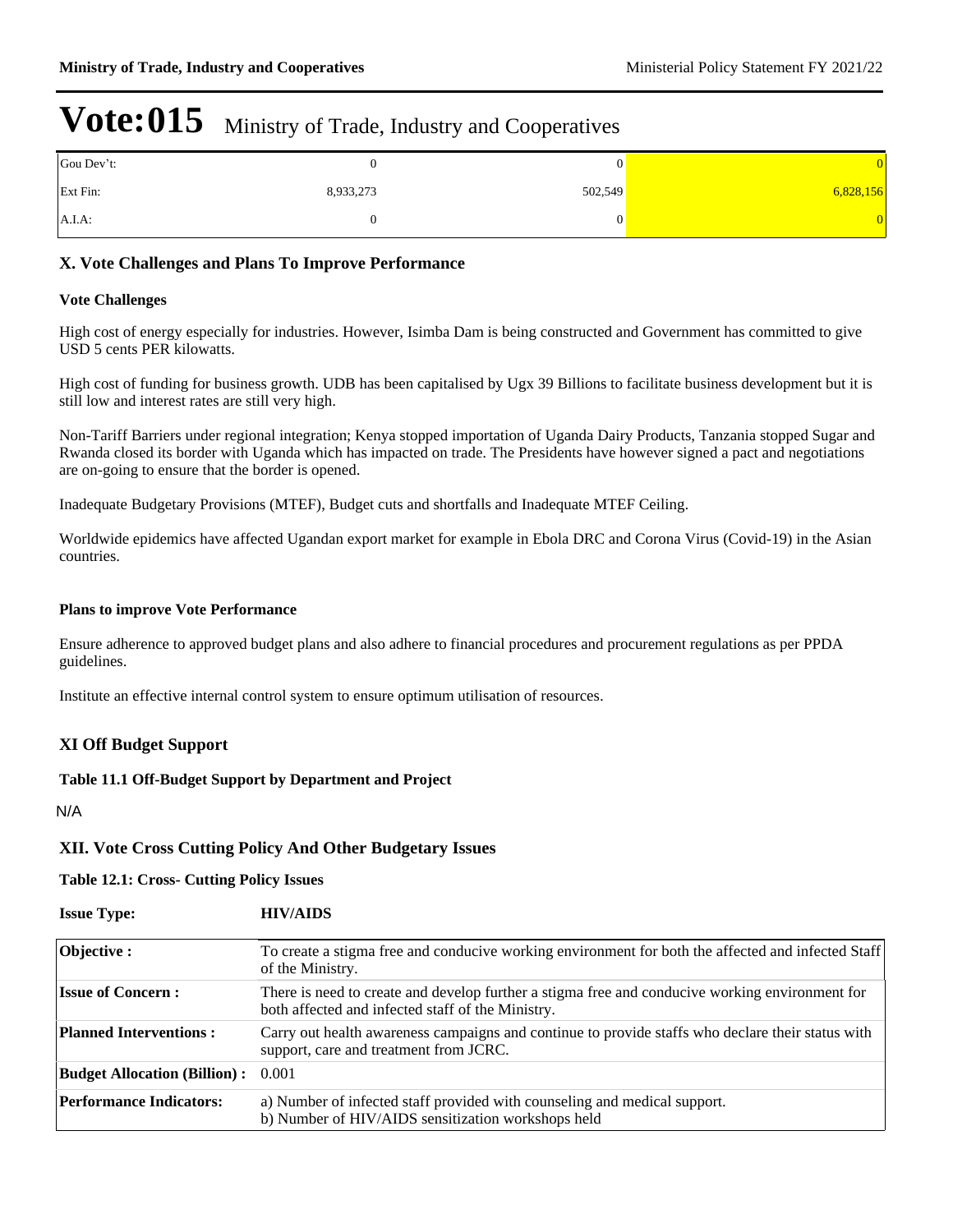| Gou Dev't: |           | v       |           |
|------------|-----------|---------|-----------|
| Ext Fin:   | 8,933,273 | 502,549 | 6,828,156 |
| $A.I.A$ :  |           | 0       |           |

### **X. Vote Challenges and Plans To Improve Performance**

#### **Vote Challenges**

High cost of energy especially for industries. However, Isimba Dam is being constructed and Government has committed to give USD 5 cents PER kilowatts.

High cost of funding for business growth. UDB has been capitalised by Ugx 39 Billions to facilitate business development but it is still low and interest rates are still very high.

Non-Tariff Barriers under regional integration; Kenya stopped importation of Uganda Dairy Products, Tanzania stopped Sugar and Rwanda closed its border with Uganda which has impacted on trade. The Presidents have however signed a pact and negotiations are on-going to ensure that the border is opened.

Inadequate Budgetary Provisions (MTEF), Budget cuts and shortfalls and Inadequate MTEF Ceiling.

Worldwide epidemics have affected Ugandan export market for example in Ebola DRC and Corona Virus (Covid-19) in the Asian countries.

#### **Plans to improve Vote Performance**

Ensure adherence to approved budget plans and also adhere to financial procedures and procurement regulations as per PPDA guidelines.

Institute an effective internal control system to ensure optimum utilisation of resources.

### **XI Off Budget Support**

#### **Table 11.1 Off-Budget Support by Department and Project**

N/A

#### **XII. Vote Cross Cutting Policy And Other Budgetary Issues**

#### **Table 12.1: Cross- Cutting Policy Issues**

| <b>Issue Type:</b>                  | <b>HIV/AIDS</b>                                                                                                                                      |
|-------------------------------------|------------------------------------------------------------------------------------------------------------------------------------------------------|
| Objective:                          | To create a stigma free and conducive working environment for both the affected and infected Staff<br>of the Ministry.                               |
| <b>Issue of Concern:</b>            | There is need to create and develop further a stigma free and conducive working environment for<br>both affected and infected staff of the Ministry. |
| <b>Planned Interventions:</b>       | Carry out health awareness campaigns and continue to provide staffs who declare their status with<br>support, care and treatment from JCRC.          |
| <b>Budget Allocation (Billion):</b> | 0.001                                                                                                                                                |
| <b>Performance Indicators:</b>      | a) Number of infected staff provided with counseling and medical support.<br>b) Number of HIV/AIDS sensitization workshops held                      |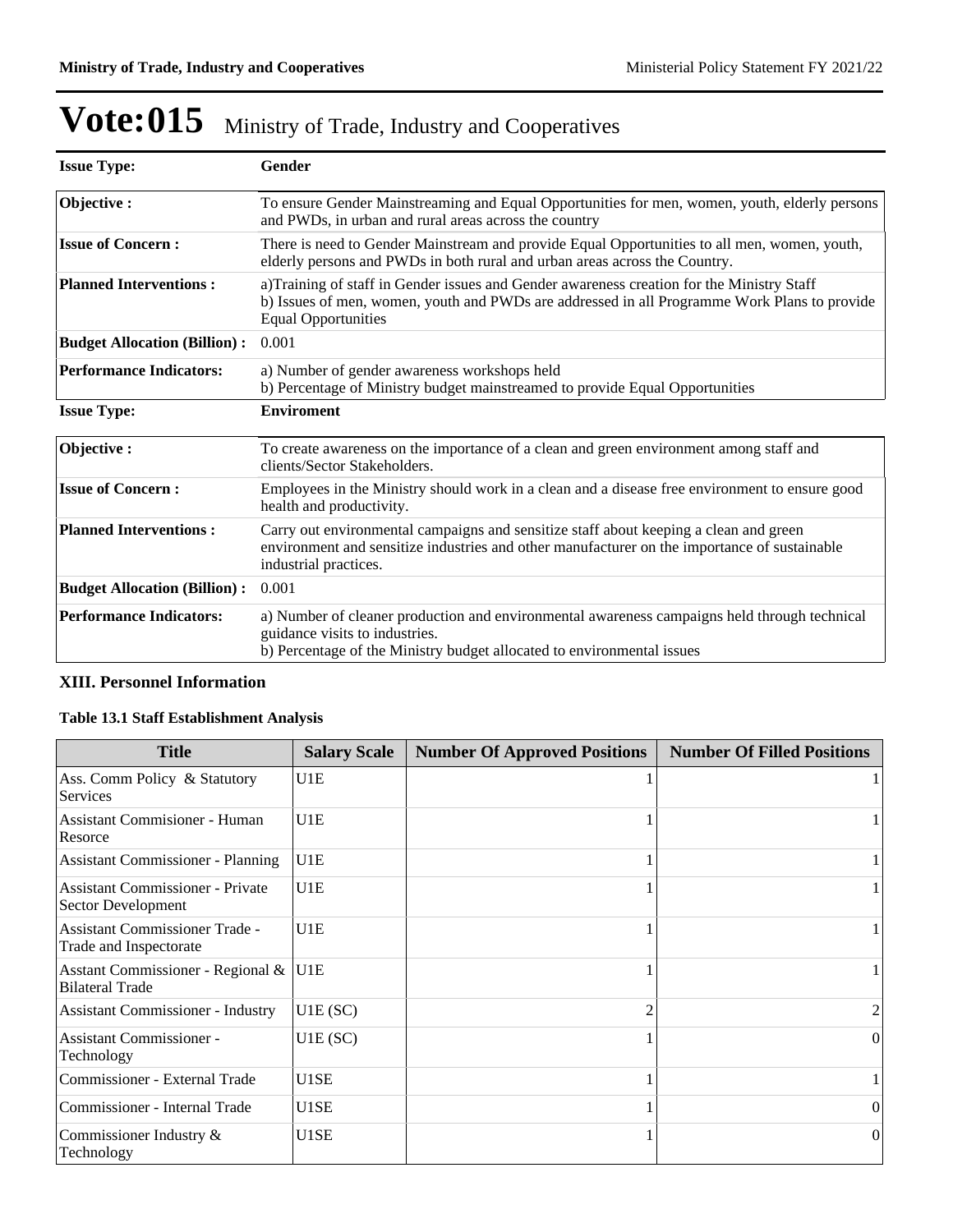| <b>Issue Type:</b>                  | Gender                                                                                                                                                                                                                  |
|-------------------------------------|-------------------------------------------------------------------------------------------------------------------------------------------------------------------------------------------------------------------------|
| Objective:                          | To ensure Gender Mainstreaming and Equal Opportunities for men, women, youth, elderly persons<br>and PWDs, in urban and rural areas across the country                                                                  |
| <b>Issue of Concern:</b>            | There is need to Gender Mainstream and provide Equal Opportunities to all men, women, youth,<br>elderly persons and PWDs in both rural and urban areas across the Country.                                              |
| <b>Planned Interventions:</b>       | a)Training of staff in Gender issues and Gender awareness creation for the Ministry Staff<br>b) Issues of men, women, youth and PWDs are addressed in all Programme Work Plans to provide<br><b>Equal Opportunities</b> |
| <b>Budget Allocation (Billion):</b> | 0.001                                                                                                                                                                                                                   |
| <b>Performance Indicators:</b>      | a) Number of gender awareness workshops held<br>b) Percentage of Ministry budget mainstreamed to provide Equal Opportunities                                                                                            |
| <b>Issue Type:</b>                  | <b>Enviroment</b>                                                                                                                                                                                                       |
| Objective:                          | To create awareness on the importance of a clean and green environment among staff and<br>clients/Sector Stakeholders.                                                                                                  |
| <b>Issue of Concern:</b>            | Employees in the Ministry should work in a clean and a disease free environment to ensure good<br>health and productivity.                                                                                              |
| <b>Planned Interventions:</b>       | Carry out environmental campaigns and sensitize staff about keeping a clean and green<br>environment and sensitize industries and other manufacturer on the importance of sustainable<br>industrial practices.          |
| <b>Budget Allocation (Billion):</b> | 0.001                                                                                                                                                                                                                   |
| <b>Performance Indicators:</b>      | a) Number of cleaner production and environmental awareness campaigns held through technical<br>guidance visits to industries.<br>b) Percentage of the Ministry budget allocated to environmental issues                |

### **XIII. Personnel Information**

### **Table 13.1 Staff Establishment Analysis**

| <b>Title</b>                                                    | <b>Salary Scale</b> | <b>Number Of Approved Positions</b> | <b>Number Of Filled Positions</b> |
|-----------------------------------------------------------------|---------------------|-------------------------------------|-----------------------------------|
| Ass. Comm Policy & Statutory<br><b>Services</b>                 | U1E                 |                                     |                                   |
| <b>Assistant Commisioner - Human</b><br>Resorce                 | U1E                 |                                     |                                   |
| <b>Assistant Commissioner - Planning</b>                        | U1E                 |                                     |                                   |
| Assistant Commissioner - Private<br>Sector Development          | U1E                 |                                     |                                   |
| <b>Assistant Commissioner Trade -</b><br>Trade and Inspectorate | U1E                 |                                     |                                   |
| Asstant Commissioner - Regional &<br><b>Bilateral Trade</b>     | U1E                 |                                     |                                   |
| <b>Assistant Commissioner - Industry</b>                        | U1E(SC)             |                                     |                                   |
| <b>Assistant Commissioner -</b><br>Technology                   | U1E(SC)             |                                     | $\theta$                          |
| Commissioner - External Trade                                   | U1SE                |                                     |                                   |
| Commissioner - Internal Trade                                   | U1SE                |                                     | $\Omega$                          |
| Commissioner Industry &<br>Technology                           | U1SE                |                                     | 0                                 |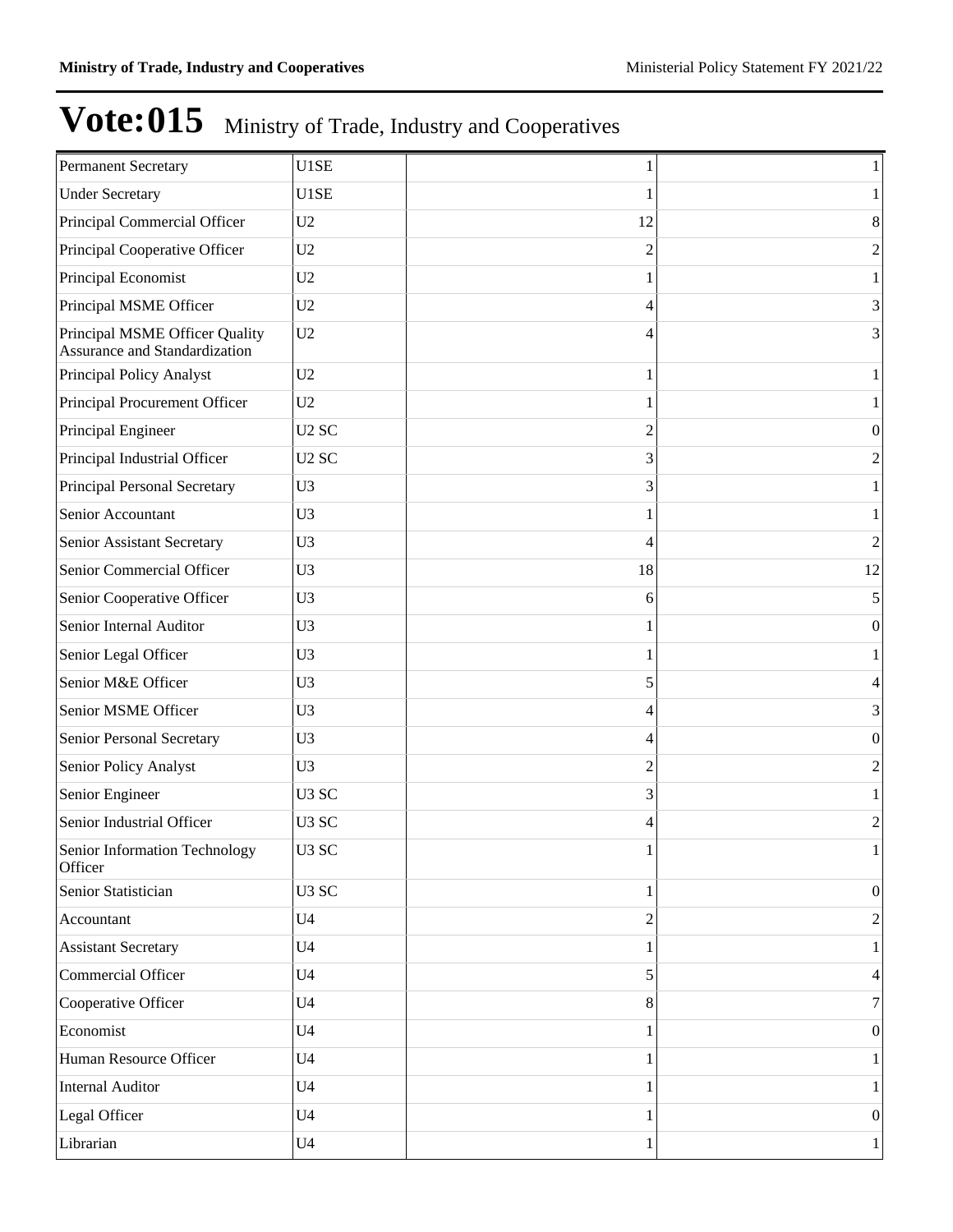| <b>Permanent Secretary</b>                                      | U1SE              |    | 1                |
|-----------------------------------------------------------------|-------------------|----|------------------|
| <b>Under Secretary</b>                                          | U1SE              |    |                  |
| Principal Commercial Officer                                    | U <sub>2</sub>    | 12 | 8                |
| Principal Cooperative Officer                                   | U <sub>2</sub>    | 2  | $\overline{2}$   |
| Principal Economist                                             | U <sub>2</sub>    |    |                  |
| Principal MSME Officer                                          | U <sub>2</sub>    | 4  | 3                |
| Principal MSME Officer Quality<br>Assurance and Standardization | U2                | 4  | 3                |
| Principal Policy Analyst                                        | U2                |    | 1                |
| Principal Procurement Officer                                   | U <sub>2</sub>    |    |                  |
| Principal Engineer                                              | U <sub>2</sub> SC | 2  | $\theta$         |
| Principal Industrial Officer                                    | U <sub>2</sub> SC | 3  | $\overline{2}$   |
| Principal Personal Secretary                                    | U <sub>3</sub>    | 3  |                  |
| Senior Accountant                                               | U <sub>3</sub>    |    |                  |
| Senior Assistant Secretary                                      | U <sub>3</sub>    | 4  | $\overline{2}$   |
| Senior Commercial Officer                                       | U <sub>3</sub>    | 18 | 12               |
| Senior Cooperative Officer                                      | U <sub>3</sub>    | 6  | 5                |
| Senior Internal Auditor                                         | U <sub>3</sub>    |    | $\boldsymbol{0}$ |
| Senior Legal Officer                                            | U <sub>3</sub>    |    |                  |
| Senior M&E Officer                                              | U <sub>3</sub>    | 5  | 4                |
| Senior MSME Officer                                             | U <sub>3</sub>    | 4  | 3                |
| Senior Personal Secretary                                       | U <sub>3</sub>    | 4  | $\theta$         |
| Senior Policy Analyst                                           | U <sub>3</sub>    | 2  | $\overline{2}$   |
| Senior Engineer                                                 | U <sub>3</sub> SC | 3  |                  |
| Senior Industrial Officer                                       | U <sub>3</sub> SC | 4  | 2                |
| Senior Information Technology<br>Officer                        | U <sub>3</sub> SC | 1  | 1                |
| Senior Statistician                                             | U <sub>3</sub> SC |    | $\vert 0 \vert$  |
| Accountant                                                      | U <sub>4</sub>    | 2  | $\overline{2}$   |
| <b>Assistant Secretary</b>                                      | U <sub>4</sub>    |    | 1                |
| Commercial Officer                                              | U <sub>4</sub>    | 5  | 4                |
| Cooperative Officer                                             | U <sub>4</sub>    | 8  | 7                |
| Economist                                                       | U <sub>4</sub>    |    | $\vert 0 \vert$  |
| Human Resource Officer                                          | U <sub>4</sub>    |    | $\mathbf{1}$     |
| Internal Auditor                                                | U <sub>4</sub>    |    | 1                |
| Legal Officer                                                   | U <sub>4</sub>    |    | 0                |
| Librarian                                                       | U <sub>4</sub>    | 1  | $\mathbf{1}$     |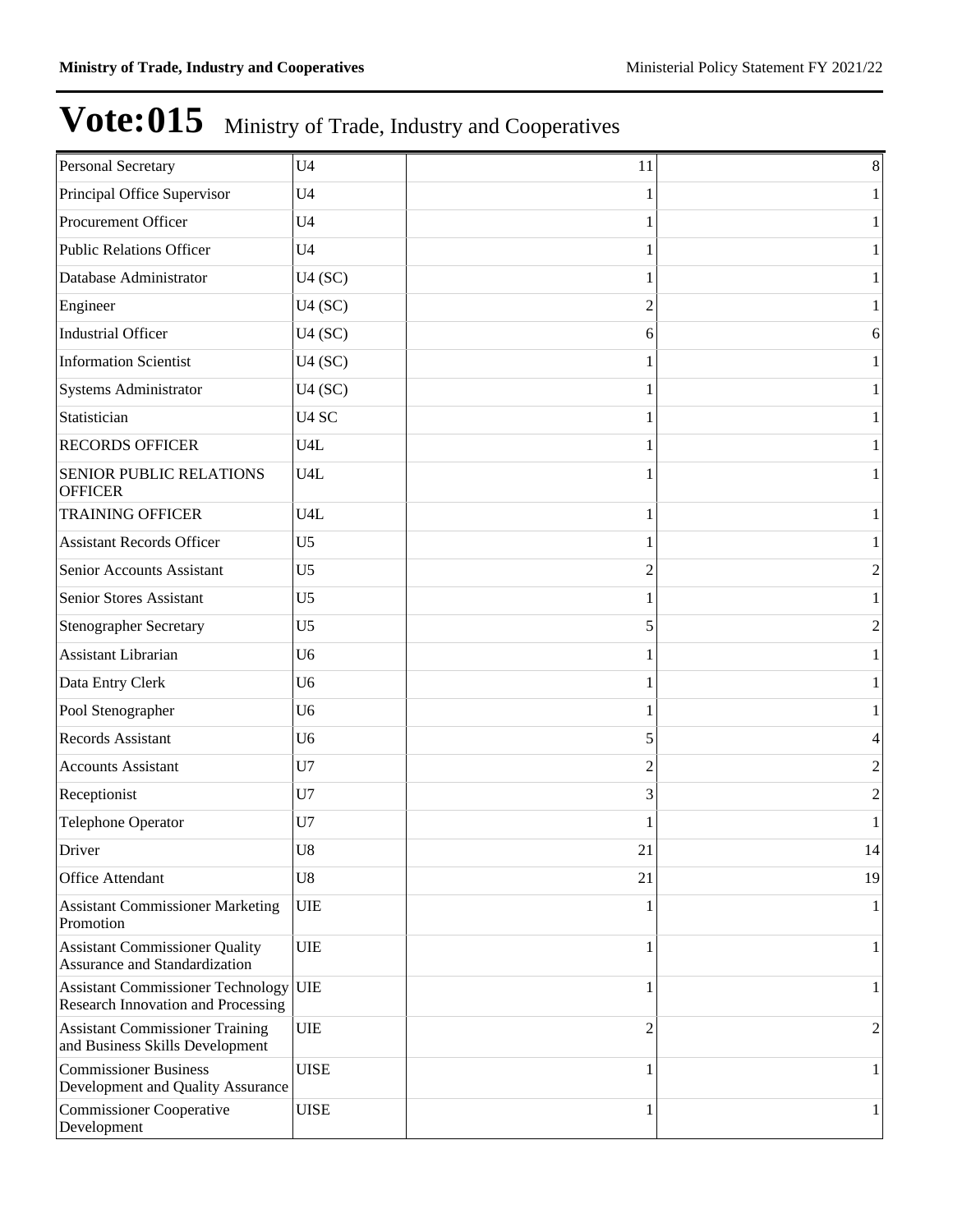| Personal Secretary                                                          | U <sub>4</sub>    | 11             | $\,8\,$        |
|-----------------------------------------------------------------------------|-------------------|----------------|----------------|
| Principal Office Supervisor                                                 | U <sub>4</sub>    |                | 1              |
| Procurement Officer                                                         | U <sub>4</sub>    |                | 1              |
| <b>Public Relations Officer</b>                                             | U <sub>4</sub>    |                | 1              |
| Database Administrator                                                      | U4(SC)            |                | 1              |
| Engineer                                                                    | U4(SC)            | $\overline{c}$ | 1              |
| <b>Industrial Officer</b>                                                   | U4(SC)            | 6              | 6              |
| <b>Information Scientist</b>                                                | U4(SC)            |                | 1              |
| Systems Administrator                                                       | U4(SC)            |                | 1              |
| Statistician                                                                | U <sub>4</sub> SC |                | 1              |
| <b>RECORDS OFFICER</b>                                                      | U <sub>4</sub> L  |                | 1              |
| <b>SENIOR PUBLIC RELATIONS</b><br><b>OFFICER</b>                            | U <sub>4</sub> L  |                | 1              |
| <b>TRAINING OFFICER</b>                                                     | U <sub>4</sub> L  | 1              | 1              |
| <b>Assistant Records Officer</b>                                            | U <sub>5</sub>    |                | 1              |
| Senior Accounts Assistant                                                   | U <sub>5</sub>    | 2              | $\mathbf{2}$   |
| Senior Stores Assistant                                                     | U <sub>5</sub>    |                | 1              |
| <b>Stenographer Secretary</b>                                               | U <sub>5</sub>    | 5              | $\mathbf{2}$   |
| Assistant Librarian                                                         | U <sub>6</sub>    |                | 1              |
| Data Entry Clerk                                                            | U <sub>6</sub>    |                | 1              |
| Pool Stenographer                                                           | U <sub>6</sub>    |                | 1              |
| Records Assistant                                                           | U <sub>6</sub>    | 5              | 4              |
| <b>Accounts Assistant</b>                                                   | U7                | 2              | $\overline{c}$ |
| Receptionist                                                                | U7                | 3              | 2              |
| Telephone Operator                                                          | U7                |                | 1              |
| Driver                                                                      | ${\bf U}8$        | 21             | 14             |
| Office Attendant                                                            | U8                | 21             | 19             |
| <b>Assistant Commissioner Marketing</b><br>Promotion                        | UIE               |                | 1              |
| <b>Assistant Commissioner Quality</b><br>Assurance and Standardization      | <b>UIE</b>        | 1              | 1              |
| Assistant Commissioner Technology UIE<br>Research Innovation and Processing |                   | 1              | $\mathbf{1}$   |
| <b>Assistant Commissioner Training</b><br>and Business Skills Development   | UIE               | 2              | 2              |
| <b>Commissioner Business</b><br>Development and Quality Assurance           | <b>UISE</b>       | 1              | 1              |
| <b>Commissioner Cooperative</b><br>Development                              | <b>UISE</b>       | 1              | 1              |